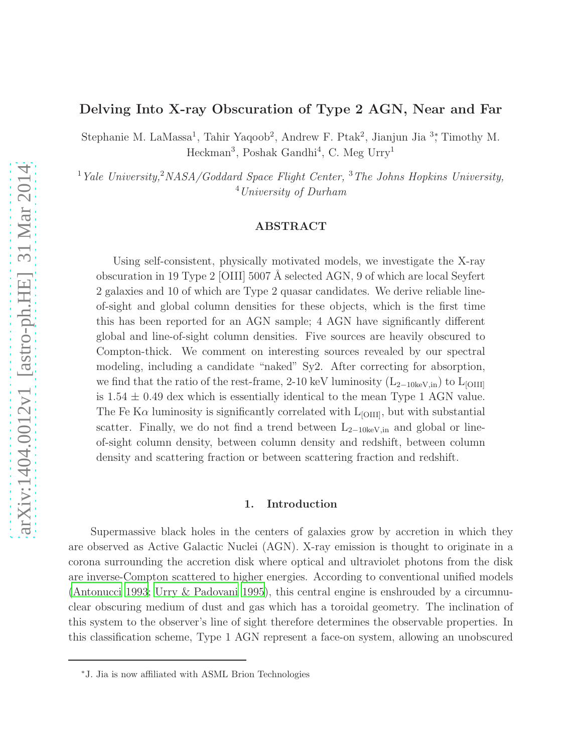# Delving Into X-ray Obscuration of Type 2 AGN, Near and Far

Stephanie M. LaMassa<sup>1</sup>, Tahir Yaqoob<sup>2</sup>, Andrew F. Ptak<sup>2</sup>, Jianjun Jia<sup>3</sup>; Timothy M. Heckman<sup>3</sup>, Poshak Gandhi<sup>4</sup>, C. Meg Urry<sup>1</sup>

<sup>1</sup>Yale University,<sup>2</sup>NASA/Goddard Space Flight Center, <sup>3</sup>The Johns Hopkins University, <sup>4</sup>University of Durham

# ABSTRACT

Using self-consistent, physically motivated models, we investigate the X-ray obscuration in 19 Type 2 [OIII] 5007 Å selected AGN, 9 of which are local Seyfert 2 galaxies and 10 of which are Type 2 quasar candidates. We derive reliable lineof-sight and global column densities for these objects, which is the first time this has been reported for an AGN sample; 4 AGN have significantly different global and line-of-sight column densities. Five sources are heavily obscured to Compton-thick. We comment on interesting sources revealed by our spectral modeling, including a candidate "naked" Sy2. After correcting for absorption, we find that the ratio of the rest-frame, 2-10 keV luminosity  $(L_{2-10\text{keV,in}})$  to  $L_{\text{[OIII]}}$ is  $1.54 \pm 0.49$  dex which is essentially identical to the mean Type 1 AGN value. The Fe K $\alpha$  luminosity is significantly correlated with L<sub>[OIII]</sub>, but with substantial scatter. Finally, we do not find a trend between  $L_{2-10\text{keV,in}}$  and global or lineof-sight column density, between column density and redshift, between column density and scattering fraction or between scattering fraction and redshift.

# 1. Introduction

Supermassive black holes in the centers of galaxies grow by accretion in which they are observed as Active Galactic Nuclei (AGN). X-ray emission is thought to originate in a corona surrounding the accretion disk where optical and ultraviolet photons from the disk are inverse-Compton scattered to higher energies. According to conventional unified models [\(Antonucci 1993;](#page-37-0) [Urry & Padovani 1995](#page-39-0)), this central engine is enshrouded by a circumnuclear obscuring medium of dust and gas which has a toroidal geometry. The inclination of this system to the observer's line of sight therefore determines the observable properties. In this classification scheme, Type 1 AGN represent a face-on system, allowing an unobscured

<sup>∗</sup>J. Jia is now affiliated with ASML Brion Technologies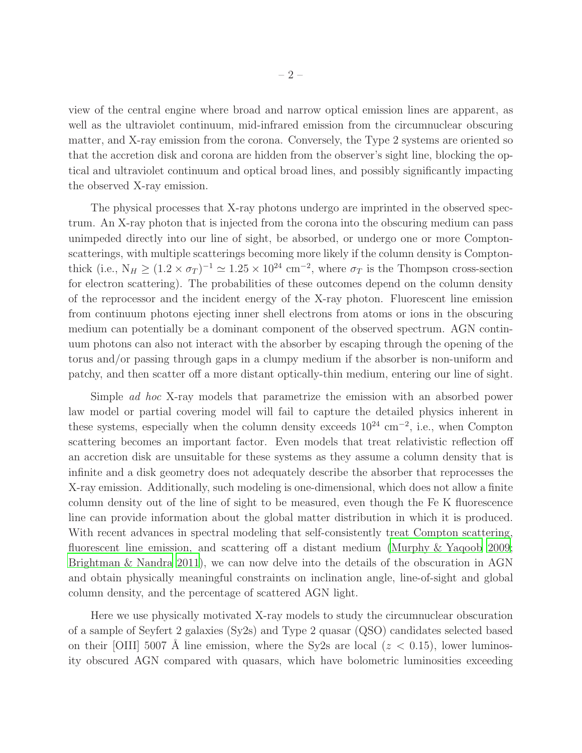view of the central engine where broad and narrow optical emission lines are apparent, as well as the ultraviolet continuum, mid-infrared emission from the circumnuclear obscuring matter, and X-ray emission from the corona. Conversely, the Type 2 systems are oriented so that the accretion disk and corona are hidden from the observer's sight line, blocking the optical and ultraviolet continuum and optical broad lines, and possibly significantly impacting the observed X-ray emission.

The physical processes that X-ray photons undergo are imprinted in the observed spectrum. An X-ray photon that is injected from the corona into the obscuring medium can pass unimpeded directly into our line of sight, be absorbed, or undergo one or more Comptonscatterings, with multiple scatterings becoming more likely if the column density is Comptonthick (i.e.,  $N_H \ge (1.2 \times \sigma_T)^{-1} \simeq 1.25 \times 10^{24}$  cm<sup>-2</sup>, where  $\sigma_T$  is the Thompson cross-section for electron scattering). The probabilities of these outcomes depend on the column density of the reprocessor and the incident energy of the X-ray photon. Fluorescent line emission from continuum photons ejecting inner shell electrons from atoms or ions in the obscuring medium can potentially be a dominant component of the observed spectrum. AGN continuum photons can also not interact with the absorber by escaping through the opening of the torus and/or passing through gaps in a clumpy medium if the absorber is non-uniform and patchy, and then scatter off a more distant optically-thin medium, entering our line of sight.

Simple ad hoc X-ray models that parametrize the emission with an absorbed power law model or partial covering model will fail to capture the detailed physics inherent in these systems, especially when the column density exceeds  $10^{24}$  cm<sup>-2</sup>, i.e., when Compton scattering becomes an important factor. Even models that treat relativistic reflection off an accretion disk are unsuitable for these systems as they assume a column density that is infinite and a disk geometry does not adequately describe the absorber that reprocesses the X-ray emission. Additionally, such modeling is one-dimensional, which does not allow a finite column density out of the line of sight to be measured, even though the Fe K fluorescence line can provide information about the global matter distribution in which it is produced. With recent advances in spectral modeling that self-consistently treat Compton scattering, fluorescent line emission, and scattering off a distant medium [\(Murphy & Yaqoob 2009;](#page-38-0) [Brightman & Nandra 2011\)](#page-37-1), we can now delve into the details of the obscuration in AGN and obtain physically meaningful constraints on inclination angle, line-of-sight and global column density, and the percentage of scattered AGN light.

Here we use physically motivated X-ray models to study the circumnuclear obscuration of a sample of Seyfert 2 galaxies (Sy2s) and Type 2 quasar (QSO) candidates selected based on their [OIII] 5007 Å line emission, where the Sy2s are local  $(z < 0.15)$ , lower luminosity obscured AGN compared with quasars, which have bolometric luminosities exceeding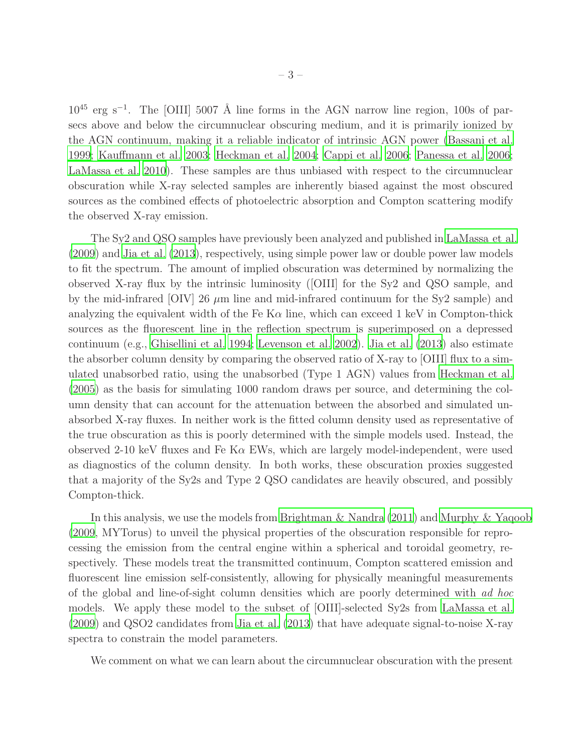$10^{45}$  erg s<sup>-1</sup>. The [OIII] 5007 Å line forms in the AGN narrow line region, 100s of parsecs above and below the circumnuclear obscuring medium, and it is primarily ionized by the AGN continuum, making it a reliable indicator of intrinsic AGN power [\(Bassani et al.](#page-37-2) [1999;](#page-37-2) [Kauffmann et al. 2003;](#page-38-1) [Heckman et al. 2004;](#page-37-3) [Cappi et al. 2006;](#page-37-4) [Panessa et al. 2006;](#page-38-2) [LaMassa et al. 2010\)](#page-38-3). These samples are thus unbiased with respect to the circumnuclear obscuration while X-ray selected samples are inherently biased against the most obscured sources as the combined effects of photoelectric absorption and Compton scattering modify the observed X-ray emission.

The Sy2 and QSO samples have previously been analyzed and published in [LaMassa et al.](#page-38-4) [\(2009\)](#page-38-4) and [Jia et al. \(2013\)](#page-38-5), respectively, using simple power law or double power law models to fit the spectrum. The amount of implied obscuration was determined by normalizing the observed X-ray flux by the intrinsic luminosity ([OIII] for the Sy2 and QSO sample, and by the mid-infrared  $[OIV]$  26  $\mu$ m line and mid-infrared continuum for the Sy2 sample) and analyzing the equivalent width of the Fe  $K\alpha$  line, which can exceed 1 keV in Compton-thick sources as the fluorescent line in the reflection spectrum is superimposed on a depressed continuum (e.g., [Ghisellini et al. 1994](#page-37-5); [Levenson et al. 2002\)](#page-38-6). [Jia et al.](#page-38-5) [\(2013](#page-38-5)) also estimate the absorber column density by comparing the observed ratio of X-ray to [OIII] flux to a simulated unabsorbed ratio, using the unabsorbed (Type 1 AGN) values from [Heckman et al.](#page-37-6) [\(2005\)](#page-37-6) as the basis for simulating 1000 random draws per source, and determining the column density that can account for the attenuation between the absorbed and simulated unabsorbed X-ray fluxes. In neither work is the fitted column density used as representative of the true obscuration as this is poorly determined with the simple models used. Instead, the observed 2-10 keV fluxes and Fe K $\alpha$  EWs, which are largely model-independent, were used as diagnostics of the column density. In both works, these obscuration proxies suggested that a majority of the Sy2s and Type 2 QSO candidates are heavily obscured, and possibly Compton-thick.

In this analysis, we use the models from [Brightman & Nandra \(2011\)](#page-37-1) and [Murphy & Yaqoob](#page-38-0) [\(2009,](#page-38-0) MYTorus) to unveil the physical properties of the obscuration responsible for reprocessing the emission from the central engine within a spherical and toroidal geometry, respectively. These models treat the transmitted continuum, Compton scattered emission and fluorescent line emission self-consistently, allowing for physically meaningful measurements of the global and line-of-sight column densities which are poorly determined with ad hoc models. We apply these model to the subset of [OIII]-selected Sy2s from [LaMassa et al.](#page-38-4) [\(2009\)](#page-38-4) and QSO2 candidates from [Jia et al. \(2013\)](#page-38-5) that have adequate signal-to-noise X-ray spectra to constrain the model parameters.

We comment on what we can learn about the circumnuclear obscuration with the present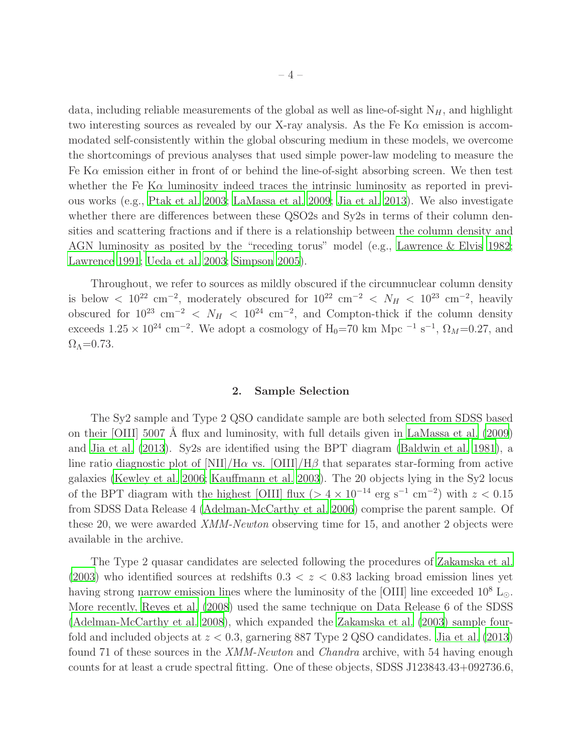data, including reliable measurements of the global as well as line-of-sight  $N_H$ , and highlight two interesting sources as revealed by our X-ray analysis. As the Fe  $K\alpha$  emission is accommodated self-consistently within the global obscuring medium in these models, we overcome the shortcomings of previous analyses that used simple power-law modeling to measure the Fe  $K\alpha$  emission either in front of or behind the line-of-sight absorbing screen. We then test whether the Fe K $\alpha$  luminosity indeed traces the intrinsic luminosity as reported in previous works (e.g., [Ptak et al. 2003](#page-38-7); [LaMassa et al. 2009;](#page-38-4) [Jia et al. 2013\)](#page-38-5). We also investigate whether there are differences between these QSO2s and Sy2s in terms of their column densities and scattering fractions and if there is a relationship between the column density and AGN luminosity as posited by the "receding torus" model (e.g., [Lawrence & Elvis 1982;](#page-38-8) [Lawrence 1991](#page-38-9); [Ueda et al. 2003;](#page-39-1) [Simpson 2005\)](#page-38-10).

Throughout, we refer to sources as mildly obscured if the circumnuclear column density is below  $\langle 10^{22} \text{ cm}^{-2}$ , moderately obscured for  $10^{22} \text{ cm}^{-2} \langle N_H \langle 10^{23} \text{ cm}^{-2} \rangle$ , heavily obscured for  $10^{23}$  cm<sup>-2</sup> <  $N_H$  <  $10^{24}$  cm<sup>-2</sup>, and Compton-thick if the column density exceeds  $1.25 \times 10^{24}$  cm<sup>-2</sup>. We adopt a cosmology of H<sub>0</sub>=70 km Mpc<sup>-1</sup> s<sup>-1</sup>,  $\Omega_M$ =0.27, and  $\Omega_{\Lambda}$ =0.73.

## 2. Sample Selection

The Sy2 sample and Type 2 QSO candidate sample are both selected from SDSS based on their [OIII] 5007 Å flux and luminosity, with full details given in LaMassa et al.  $(2009)$ and [Jia et al. \(2013](#page-38-5)). Sy2s are identified using the BPT diagram [\(Baldwin et al. 1981\)](#page-37-7), a line ratio diagnostic plot of  $\frac{N\text{II}}{H\alpha}$  vs.  $\frac{1}{N\beta}$  that separates star-forming from active galaxies [\(Kewley et al. 2006](#page-38-11); [Kauffmann et al. 2003](#page-38-1)). The 20 objects lying in the Sy2 locus of the BPT diagram with the highest [OIII] flux (>  $4 \times 10^{-14}$  erg s<sup>-1</sup> cm<sup>-2</sup>) with  $z < 0.15$ from SDSS Data Release 4 [\(Adelman-McCarthy et al. 2006](#page-37-8)) comprise the parent sample. Of these 20, we were awarded XMM-Newton observing time for 15, and another 2 objects were available in the archive.

The Type 2 quasar candidates are selected following the procedures of [Zakamska et al.](#page-39-2) [\(2003\)](#page-39-2) who identified sources at redshifts  $0.3 < z < 0.83$  lacking broad emission lines yet having strong narrow emission lines where the luminosity of the [OIII] line exceeded  $10^8$  L<sub>☉</sub>. More recently, [Reyes et al. \(2008\)](#page-38-12) used the same technique on Data Release 6 of the SDSS [\(Adelman-McCarthy et al. 2008\)](#page-37-9), which expanded the [Zakamska et](#page-39-2) al. [\(2003](#page-39-2)) sample fourfold and included objects at  $z < 0.3$ , garnering 887 Type 2 QSO candidates. [Jia et al. \(2013\)](#page-38-5) found 71 of these sources in the *XMM-Newton* and *Chandra* archive, with 54 having enough counts for at least a crude spectral fitting. One of these objects, SDSS J123843.43+092736.6,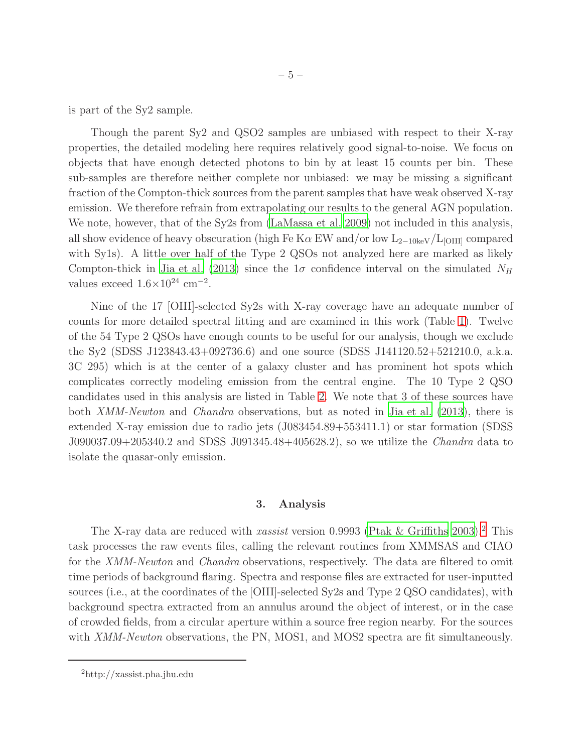is part of the Sy2 sample.

Though the parent Sy2 and QSO2 samples are unbiased with respect to their X-ray properties, the detailed modeling here requires relatively good signal-to-noise. We focus on objects that have enough detected photons to bin by at least 15 counts per bin. These sub-samples are therefore neither complete nor unbiased: we may be missing a significant fraction of the Compton-thick sources from the parent samples that have weak observed X-ray emission. We therefore refrain from extrapolating our results to the general AGN population. We note, however, that of the Sy2s from [\(LaMassa et al. 2009](#page-38-4)) not included in this analysis, all show evidence of heavy obscuration (high Fe K $\alpha$  EW and/or low L<sub>2−10keV</sub>/L<sub>[OIII]</sub> compared with Sy1s). A little over half of the Type 2 QSOs not analyzed here are marked as likely Compton-thick in [Jia et al. \(2013\)](#page-38-5) since the  $1\sigma$  confidence interval on the simulated  $N_H$ values exceed  $1.6 \times 10^{24}$  cm<sup>-2</sup>.

Nine of the 17 [OIII]-selected Sy2s with X-ray coverage have an adequate number of counts for more detailed spectral fitting and are examined in this work (Table [1\)](#page-5-0). Twelve of the 54 Type 2 QSOs have enough counts to be useful for our analysis, though we exclude the Sy2 (SDSS J123843.43+092736.6) and one source (SDSS J141120.52+521210.0, a.k.a. 3C 295) which is at the center of a galaxy cluster and has prominent hot spots which complicates correctly modeling emission from the central engine. The 10 Type 2 QSO candidates used in this analysis are listed in Table [2.](#page-5-1) We note that 3 of these sources have both XMM-Newton and Chandra observations, but as noted in [Jia et al. \(2013\)](#page-38-5), there is extended X-ray emission due to radio jets (J083454.89+553411.1) or star formation (SDSS J090037.09+205340.2 and SDSS J091345.48+405628.2), so we utilize the Chandra data to isolate the quasar-only emission.

#### 3. Analysis

The X-ray data are reduced with *xassist* version 0.9993 [\(Ptak & Griffiths 2003](#page-38-13)).<sup>[2](#page-4-0)</sup> This task processes the raw events files, calling the relevant routines from XMMSAS and CIAO for the XMM-Newton and Chandra observations, respectively. The data are filtered to omit time periods of background flaring. Spectra and response files are extracted for user-inputted sources (i.e., at the coordinates of the [OIII]-selected Sy2s and Type 2 QSO candidates), with background spectra extracted from an annulus around the object of interest, or in the case of crowded fields, from a circular aperture within a source free region nearby. For the sources with *XMM-Newton* observations, the PN, MOS1, and MOS2 spectra are fit simultaneously.

<span id="page-4-0"></span><sup>2</sup>http://xassist.pha.jhu.edu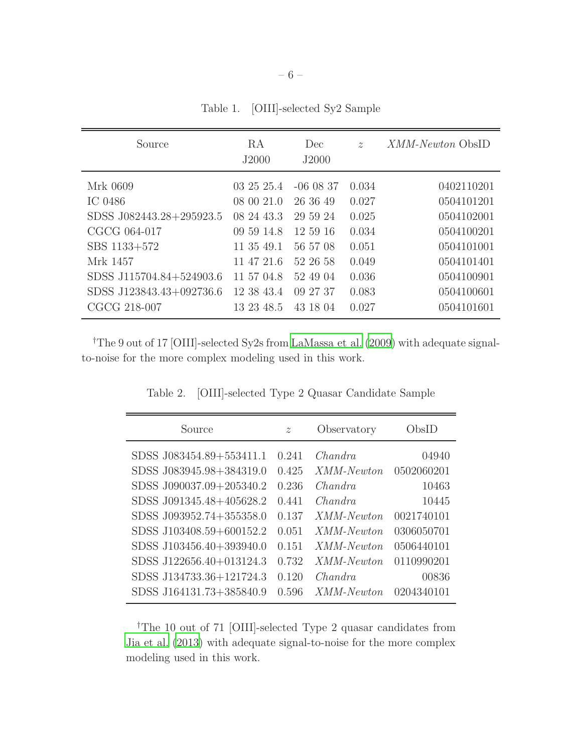<span id="page-5-0"></span>Table 1. [OIII]-selected Sy2 Sample

| Source                   | RA<br>J2000 | Dec<br>J2000 | $\tilde{z}$ | <i>XMM-Newton</i> ObsID |
|--------------------------|-------------|--------------|-------------|-------------------------|
| Mrk 0609                 | 03 25 25.4  | $-060837$    | 0.034       | 0402110201              |
| IC 0486                  | 08 00 21.0  | 26 36 49     | 0.027       | 0504101201              |
| SDSS J082443.28+295923.5 | 08 24 43.3  | 29 59 24     | 0.025       | 0504102001              |
| CGCG 064-017             | 09 59 14.8  | 12 59 16     | 0.034       | 0504100201              |
| SBS 1133+572             | 11 35 49.1  | 56 57 08     | 0.051       | 0504101001              |
| Mrk 1457                 | 11 47 21.6  | 52 26 58     | 0.049       | 0504101401              |
| SDSS J115704.84+524903.6 | 11 57 04.8  | 52 49 04     | 0.036       | 0504100901              |
| SDSS J123843.43+092736.6 | 12 38 43.4  | 09 27 37     | 0.083       | 0504100601              |
| CGCG 218-007             | 13 23 48.5  | 43 18 04     | 0.027       | 0504101601              |

†The 9 out of 17 [OIII]-selected Sy2s from [LaMassa et al. \(2009\)](#page-38-4) with adequate signalto-noise for the more complex modeling used in this work.

| $\widetilde{\mathcal{Z}}$ | Observatory       | ObsID                        |
|---------------------------|-------------------|------------------------------|
|                           |                   | 04940                        |
|                           |                   |                              |
| 0.425                     |                   | 0502060201                   |
| 0.236                     | <i>Chandra</i>    | 10463                        |
| 0.441                     | <i>Chandra</i>    | 10445                        |
| 0.137                     | <i>XMM-Newton</i> | 0021740101                   |
| 0.051                     | XMM-Newton        | 0306050701                   |
| 0.151                     | XMM-Newton.       | 0506440101                   |
| 0.732                     | XMM-Newton        | 0110990201                   |
| 0.120                     | <i>Chandra</i>    | 00836                        |
| 0.596                     | <i>XMM-Newton</i> | 0204340101                   |
|                           | 0.241             | <i>Chandra</i><br>XMM-Newton |

<span id="page-5-1"></span>Table 2. [OIII]-selected Type 2 Quasar Candidate Sample

†The 10 out of 71 [OIII]-selected Type 2 quasar candidates from [Jia et al. \(2013](#page-38-5)) with adequate signal-to-noise for the more complex modeling used in this work.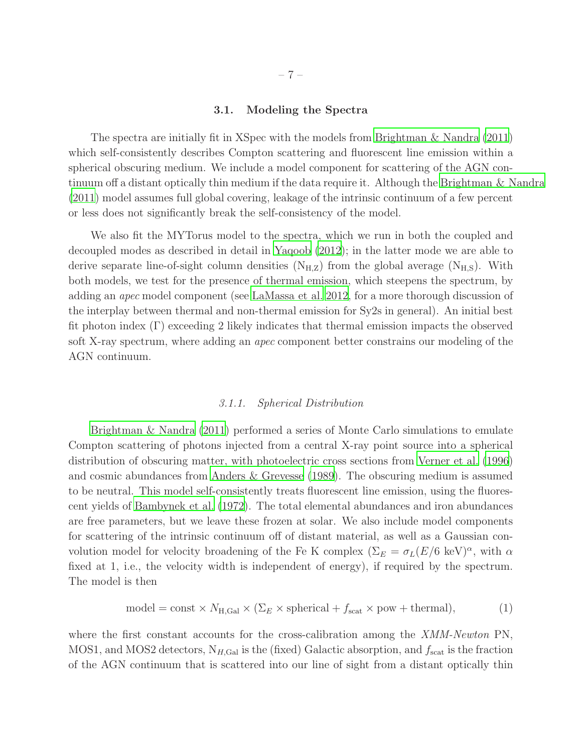## 3.1. Modeling the Spectra

The spectra are initially fit in XSpec with the models from [Brightman & Nandra \(2011\)](#page-37-1) which self-consistently describes Compton scattering and fluorescent line emission within a spherical obscuring medium. We include a model component for scattering of the AGN continuum off a distant optically thin medium if the data require it. Although the [Brightman & Nandra](#page-37-1) [\(2011\)](#page-37-1) model assumes full global covering, leakage of the intrinsic continuum of a few percent or less does not significantly break the self-consistency of the model.

We also fit the MYTorus model to the spectra, which we run in both the coupled and decoupled modes as described in detail in [Yaqoob \(2012](#page-39-3)); in the latter mode we are able to derive separate line-of-sight column densities  $(N_{H,Z})$  from the global average  $(N_{H,S})$ . With both models, we test for the presence of thermal emission, which steepens the spectrum, by adding an apec model component (see [LaMassa et al. 2012](#page-38-14), for a more thorough discussion of the interplay between thermal and non-thermal emission for Sy2s in general). An initial best fit photon index (Γ) exceeding 2 likely indicates that thermal emission impacts the observed soft X-ray spectrum, where adding an apec component better constrains our modeling of the AGN continuum.

#### 3.1.1. Spherical Distribution

[Brightman & Nandra \(2011](#page-37-1)) performed a series of Monte Carlo simulations to emulate Compton scattering of photons injected from a central X-ray point source into a spherical distribution of obscuring matter, with photoelectric cross sections from [Verner et al. \(1996\)](#page-39-4) and cosmic abundances from [Anders & Grevesse \(1989\)](#page-37-10). The obscuring medium is assumed to be neutral. This model self-consistently treats fluorescent line emission, using the fluorescent yields of [Bambynek et al. \(1972\)](#page-37-11). The total elemental abundances and iron abundances are free parameters, but we leave these frozen at solar. We also include model components for scattering of the intrinsic continuum off of distant material, as well as a Gaussian convolution model for velocity broadening of the Fe K complex  $(\Sigma_E = \sigma_L (E/6 \text{ keV})^{\alpha}$ , with  $\alpha$ fixed at 1, i.e., the velocity width is independent of energy), if required by the spectrum. The model is then

$$
model = \text{const} \times N_{\text{H,Gal}} \times (\Sigma_E \times \text{spherical} + f_{\text{scat}} \times \text{pow} + \text{thermal}), \tag{1}
$$

where the first constant accounts for the cross-calibration among the XMM-Newton PN, MOS1, and MOS2 detectors,  $N_{H,\text{Gal}}$  is the (fixed) Galactic absorption, and  $f_{\text{scat}}$  is the fraction of the AGN continuum that is scattered into our line of sight from a distant optically thin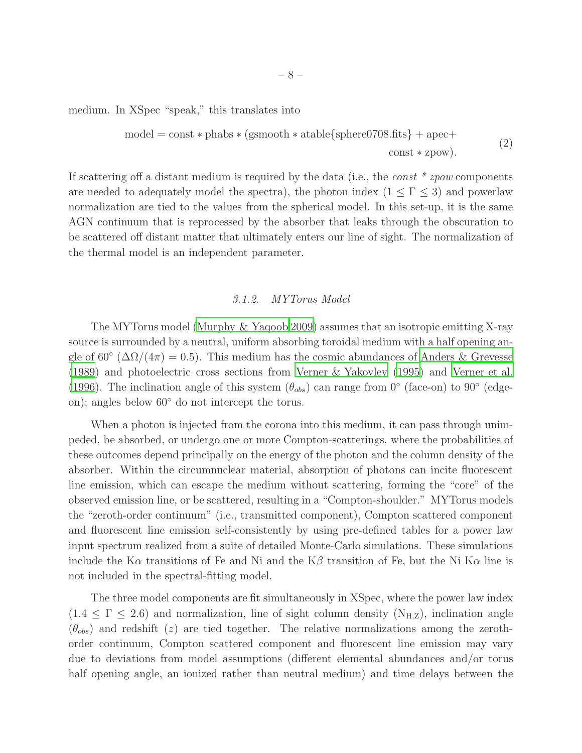medium. In XSpec "speak," this translates into

model = const ∗ phabs ∗ (gsmooth ∗ atable{sphere0708.fits} + apec+ const ∗ zpow). (2)

If scattering off a distant medium is required by the data (i.e., the *const*  $*$  *zpow* components are needed to adequately model the spectra), the photon index  $(1 \leq \Gamma \leq 3)$  and powerlaw normalization are tied to the values from the spherical model. In this set-up, it is the same AGN continuum that is reprocessed by the absorber that leaks through the obscuration to be scattered off distant matter that ultimately enters our line of sight. The normalization of the thermal model is an independent parameter.

# 3.1.2. MYTorus Model

The MYTorus model [\(Murphy & Yaqoob 2009](#page-38-0)) assumes that an isotropic emitting X-ray source is surrounded by a neutral, uniform absorbing toroidal medium with a half opening angle of 60 $\degree$  ( $\Delta\Omega/(4\pi) = 0.5$ ). This medium has the cosmic abundances of [Anders & Grevesse](#page-37-10) [\(1989\)](#page-37-10) and photoelectric cross sections from [Verner & Yakovlev \(1995\)](#page-39-5) and [Verner et al.](#page-39-4) [\(1996\)](#page-39-4). The inclination angle of this system  $(\theta_{obs})$  can range from 0° (face-on) to 90° (edgeon); angles below 60◦ do not intercept the torus.

When a photon is injected from the corona into this medium, it can pass through unimpeded, be absorbed, or undergo one or more Compton-scatterings, where the probabilities of these outcomes depend principally on the energy of the photon and the column density of the absorber. Within the circumnuclear material, absorption of photons can incite fluorescent line emission, which can escape the medium without scattering, forming the "core" of the observed emission line, or be scattered, resulting in a "Compton-shoulder." MYTorus models the "zeroth-order continuum" (i.e., transmitted component), Compton scattered component and fluorescent line emission self-consistently by using pre-defined tables for a power law input spectrum realized from a suite of detailed Monte-Carlo simulations. These simulations include the K $\alpha$  transitions of Fe and Ni and the K $\beta$  transition of Fe, but the Ni K $\alpha$  line is not included in the spectral-fitting model.

The three model components are fit simultaneously in XSpec, where the power law index  $(1.4 \leq \Gamma \leq 2.6)$  and normalization, line of sight column density  $(N_{H,Z})$ , inclination angle  $(\theta_{obs})$  and redshift (z) are tied together. The relative normalizations among the zerothorder continuum, Compton scattered component and fluorescent line emission may vary due to deviations from model assumptions (different elemental abundances and/or torus half opening angle, an ionized rather than neutral medium) and time delays between the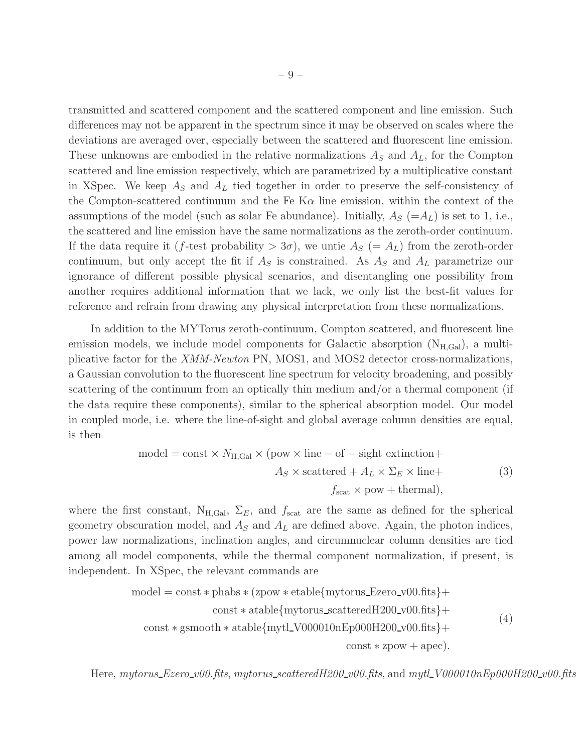transmitted and scattered component and the scattered component and line emission. Such differences may not be apparent in the spectrum since it may be observed on scales where the deviations are averaged over, especially between the scattered and fluorescent line emission. These unknowns are embodied in the relative normalizations  $A<sub>S</sub>$  and  $A<sub>L</sub>$ , for the Compton scattered and line emission respectively, which are parametrized by a multiplicative constant in XSpec. We keep  $A<sub>S</sub>$  and  $A<sub>L</sub>$  tied together in order to preserve the self-consistency of the Compton-scattered continuum and the Fe  $K\alpha$  line emission, within the context of the assumptions of the model (such as solar Fe abundance). Initially,  $A_S (=A_L)$  is set to 1, i.e., the scattered and line emission have the same normalizations as the zeroth-order continuum. If the data require it (f-test probability  $> 3\sigma$ ), we untie  $A_S (= A_L)$  from the zeroth-order continuum, but only accept the fit if  $A<sub>S</sub>$  is constrained. As  $A<sub>S</sub>$  and  $A<sub>L</sub>$  parametrize our ignorance of different possible physical scenarios, and disentangling one possibility from another requires additional information that we lack, we only list the best-fit values for reference and refrain from drawing any physical interpretation from these normalizations.

In addition to the MYTorus zeroth-continuum, Compton scattered, and fluorescent line emission models, we include model components for Galactic absorption  $(N_{H,Gal})$ , a multiplicative factor for the XMM-Newton PN, MOS1, and MOS2 detector cross-normalizations, a Gaussian convolution to the fluorescent line spectrum for velocity broadening, and possibly scattering of the continuum from an optically thin medium and/or a thermal component (if the data require these components), similar to the spherical absorption model. Our model in coupled mode, i.e. where the line-of-sight and global average column densities are equal, is then

model = const × 
$$
N_{\text{H,Gal}} \times
$$
 (pow × line – of – sight extinction+  
\n $A_S \times \text{scattered} + A_L \times \Sigma_E \times \text{line+}$  (3)  
\n $f_{\text{scat}} \times \text{pow} + \text{thermal}$ ,

where the first constant,  $N_{\text{H,Gal}}$ ,  $\Sigma_E$ , and  $f_{\text{scat}}$  are the same as defined for the spherical geometry obscuration model, and  $A<sub>S</sub>$  and  $A<sub>L</sub>$  are defined above. Again, the photon indices, power law normalizations, inclination angles, and circumnuclear column densities are tied among all model components, while the thermal component normalization, if present, is independent. In XSpec, the relevant commands are

> $\text{model} = \text{const} * \text{phabs} * (\text{zpow} * \text{etable} \{\text{mytorus} \_\text{Ezero_v00} \_\text{fits}\} +$  $const * atable$ {mytorus\_scatteredH200\_v00.fits}+  $\text{const} * \text{gsmooth} * \text{atable} \{\text{mytl_V000010nEp000H200_v00}. \text{fits}\}+$  $const * zpow + apec$ ). (4)

Here, mytorus\_Ezero\_v00.fits, mytorus\_scatteredH200\_v00.fits, and mytl\_V000010nEp000H200\_v00.fits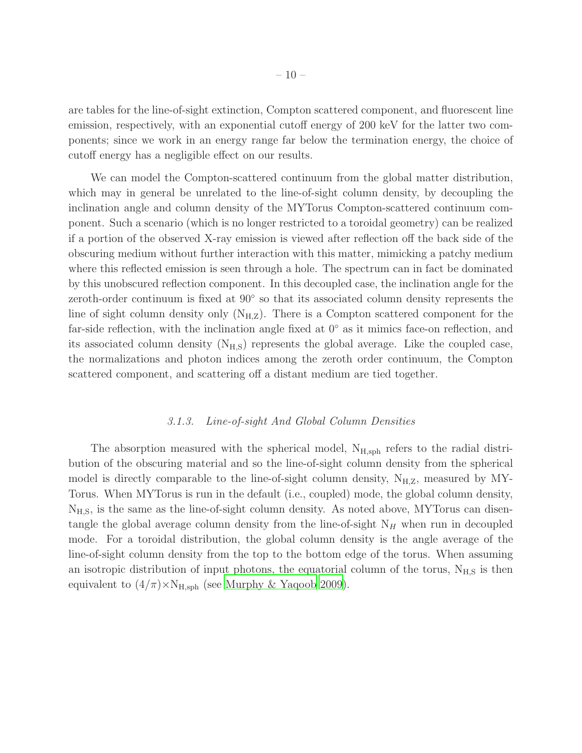are tables for the line-of-sight extinction, Compton scattered component, and fluorescent line emission, respectively, with an exponential cutoff energy of 200 keV for the latter two components; since we work in an energy range far below the termination energy, the choice of cutoff energy has a negligible effect on our results.

We can model the Compton-scattered continuum from the global matter distribution, which may in general be unrelated to the line-of-sight column density, by decoupling the inclination angle and column density of the MYTorus Compton-scattered continuum component. Such a scenario (which is no longer restricted to a toroidal geometry) can be realized if a portion of the observed X-ray emission is viewed after reflection off the back side of the obscuring medium without further interaction with this matter, mimicking a patchy medium where this reflected emission is seen through a hole. The spectrum can in fact be dominated by this unobscured reflection component. In this decoupled case, the inclination angle for the zeroth-order continuum is fixed at  $90°$  so that its associated column density represents the line of sight column density only  $(N_{H,Z})$ . There is a Compton scattered component for the far-side reflection, with the inclination angle fixed at 0◦ as it mimics face-on reflection, and its associated column density  $(N_{H,S})$  represents the global average. Like the coupled case, the normalizations and photon indices among the zeroth order continuum, the Compton scattered component, and scattering off a distant medium are tied together.

#### 3.1.3. Line-of-sight And Global Column Densities

The absorption measured with the spherical model,  $N_{H,\text{sph}}$  refers to the radial distribution of the obscuring material and so the line-of-sight column density from the spherical model is directly comparable to the line-of-sight column density,  $N_{H,Z}$ , measured by MY-Torus. When MYTorus is run in the default (i.e., coupled) mode, the global column density,  $N_{H,S}$ , is the same as the line-of-sight column density. As noted above, MYTorus can disentangle the global average column density from the line-of-sight  $N_H$  when run in decoupled mode. For a toroidal distribution, the global column density is the angle average of the line-of-sight column density from the top to the bottom edge of the torus. When assuming an isotropic distribution of input photons, the equatorial column of the torus,  $N_{H,S}$  is then equivalent to  $(4/\pi) \times N_{H,\text{sph}}$  (see [Murphy & Yaqoob 2009](#page-38-0)).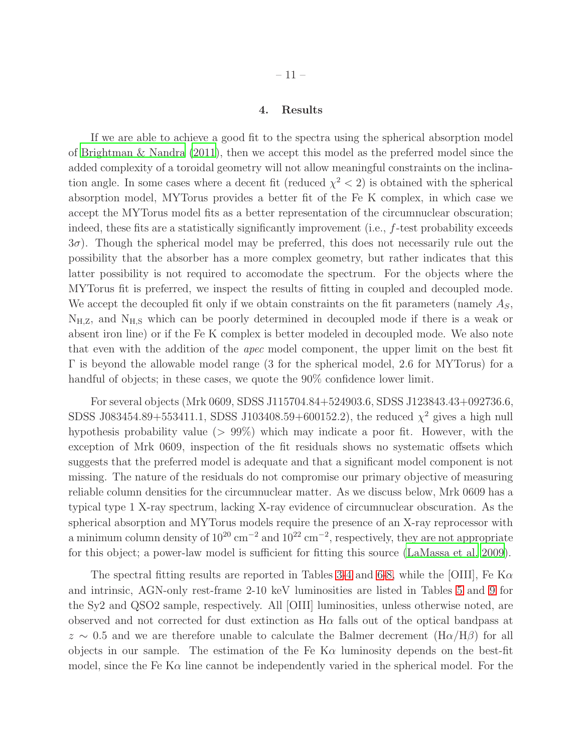### 4. Results

If we are able to achieve a good fit to the spectra using the spherical absorption model of [Brightman & Nandra \(2011\)](#page-37-1), then we accept this model as the preferred model since the added complexity of a toroidal geometry will not allow meaningful constraints on the inclination angle. In some cases where a decent fit (reduced  $\chi^2$  < 2) is obtained with the spherical absorption model, MYTorus provides a better fit of the Fe K complex, in which case we accept the MYTorus model fits as a better representation of the circumnuclear obscuration; indeed, these fits are a statistically significantly improvement (i.e., f-test probability exceeds 3σ). Though the spherical model may be preferred, this does not necessarily rule out the possibility that the absorber has a more complex geometry, but rather indicates that this latter possibility is not required to accomodate the spectrum. For the objects where the MYTorus fit is preferred, we inspect the results of fitting in coupled and decoupled mode. We accept the decoupled fit only if we obtain constraints on the fit parameters (namely  $A_S$ ,  $N_{H,Z}$ , and  $N_{H,S}$  which can be poorly determined in decoupled mode if there is a weak or absent iron line) or if the Fe K complex is better modeled in decoupled mode. We also note that even with the addition of the apec model component, the upper limit on the best fit Γ is beyond the allowable model range (3 for the spherical model, 2.6 for MYTorus) for a handful of objects; in these cases, we quote the  $90\%$  confidence lower limit.

For several objects (Mrk 0609, SDSS J115704.84+524903.6, SDSS J123843.43+092736.6, SDSS J083454.89+553411.1, SDSS J103408.59+600152.2), the reduced  $\chi^2$  gives a high null hypothesis probability value  $(> 99\%)$  which may indicate a poor fit. However, with the exception of Mrk 0609, inspection of the fit residuals shows no systematic offsets which suggests that the preferred model is adequate and that a significant model component is not missing. The nature of the residuals do not compromise our primary objective of measuring reliable column densities for the circumnuclear matter. As we discuss below, Mrk 0609 has a typical type 1 X-ray spectrum, lacking X-ray evidence of circumnuclear obscuration. As the spherical absorption and MYTorus models require the presence of an X-ray reprocessor with a minimum column density of  $10^{20}$  cm<sup>-2</sup> and  $10^{22}$  cm<sup>-2</sup>, respectively, they are not appropriate for this object; a power-law model is sufficient for fitting this source [\(LaMassa et al. 2009\)](#page-38-4).

The spectral fitting results are reported in Tables [3](#page-12-0)[-4](#page-14-0) and [6-](#page-18-0)[8,](#page-22-0) while the [OIII], Fe K $\alpha$ and intrinsic, AGN-only rest-frame 2-10 keV luminosities are listed in Tables [5](#page-16-0) and [9](#page-24-0) for the Sy2 and QSO2 sample, respectively. All [OIII] luminosities, unless otherwise noted, are observed and not corrected for dust extinction as  $H\alpha$  falls out of the optical bandpass at  $z \sim 0.5$  and we are therefore unable to calculate the Balmer decrement (H $\alpha$ /H $\beta$ ) for all objects in our sample. The estimation of the Fe K $\alpha$  luminosity depends on the best-fit model, since the Fe K $\alpha$  line cannot be independently varied in the spherical model. For the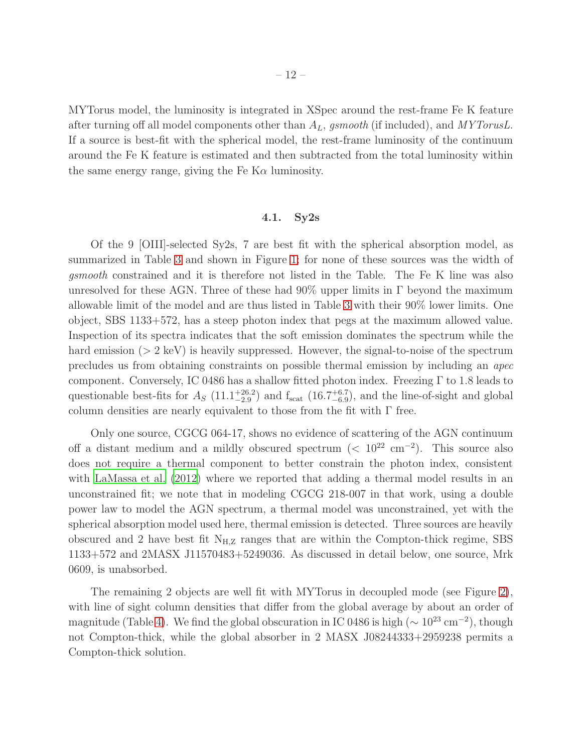MYTorus model, the luminosity is integrated in XSpec around the rest-frame Fe K feature after turning off all model components other than  $A_L$ , gsmooth (if included), and MYTorusL. If a source is best-fit with the spherical model, the rest-frame luminosity of the continuum around the Fe K feature is estimated and then subtracted from the total luminosity within the same energy range, giving the Fe  $K\alpha$  luminosity.

# 4.1. Sy2s

Of the 9 [OIII]-selected Sy2s, 7 are best fit with the spherical absorption model, as summarized in Table [3](#page-12-0) and shown in Figure [1;](#page-13-0) for none of these sources was the width of gsmooth constrained and it is therefore not listed in the Table. The Fe K line was also unresolved for these AGN. Three of these had 90% upper limits in  $\Gamma$  beyond the maximum allowable limit of the model and are thus listed in Table [3](#page-12-0) with their 90% lower limits. One object, SBS 1133+572, has a steep photon index that pegs at the maximum allowed value. Inspection of its spectra indicates that the soft emission dominates the spectrum while the hard emission  $(> 2 \text{ keV})$  is heavily suppressed. However, the signal-to-noise of the spectrum precludes us from obtaining constraints on possible thermal emission by including an apec component. Conversely, IC 0486 has a shallow fitted photon index. Freezing Γ to 1.8 leads to questionable best-fits for  $A_S$  (11.1<sup>+26.2</sup>) and  $f_{scat}$  (16.7<sup>+6.7</sup><sub>0.9</sub>), and the line-of-sight and global column densities are nearly equivalent to those from the fit with  $\Gamma$  free.

Only one source, CGCG 064-17, shows no evidence of scattering of the AGN continuum off a distant medium and a mildly obscured spectrum  $(< 10^{22} \text{ cm}^{-2})$ . This source also does not require a thermal component to better constrain the photon index, consistent with [LaMassa et al. \(2012](#page-38-14)) where we reported that adding a thermal model results in an unconstrained fit; we note that in modeling CGCG 218-007 in that work, using a double power law to model the AGN spectrum, a thermal model was unconstrained, yet with the spherical absorption model used here, thermal emission is detected. Three sources are heavily obscured and 2 have best fit  $N_{H,Z}$  ranges that are within the Compton-thick regime, SBS 1133+572 and 2MASX J11570483+5249036. As discussed in detail below, one source, Mrk 0609, is unabsorbed.

The remaining 2 objects are well fit with MYTorus in decoupled mode (see Figure [2\)](#page-15-0), with line of sight column densities that differ from the global average by about an order of magnitude (Table [4\)](#page-14-0). We find the global obscuration in IC 0486 is high ( $\sim 10^{23}$  cm<sup>-2</sup>), though not Compton-thick, while the global absorber in 2 MASX J08244333+2959238 permits a Compton-thick solution.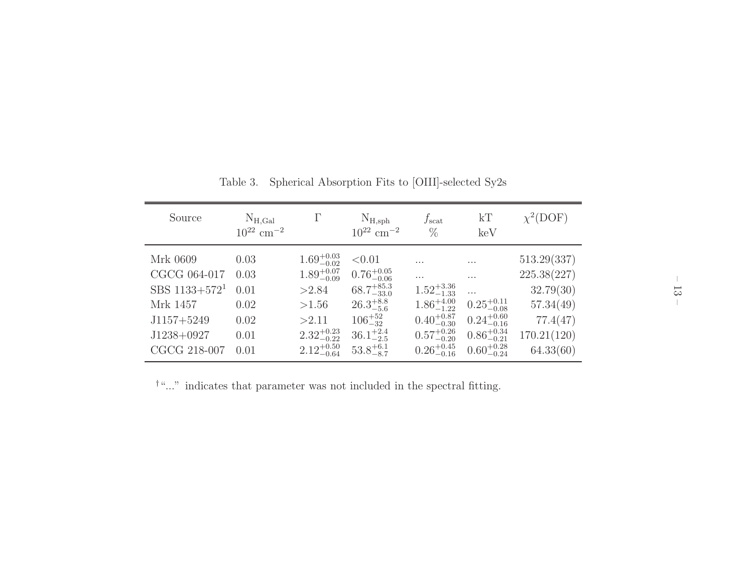| Source                                                                                                   | $N_{H,\text{Gal}}$<br>$10^{22}$ cm <sup>-2</sup>     | $\Gamma$                                                                                                                        | $N_{H,sph}$<br>$10^{22}$ cm <sup>-2</sup>                                                                                                               | $f_{\rm scat}$<br>$\%$                                                                                                                                 | kT<br>keV                                                                                                                    | $\chi^2(DOF)$                                                                                |
|----------------------------------------------------------------------------------------------------------|------------------------------------------------------|---------------------------------------------------------------------------------------------------------------------------------|---------------------------------------------------------------------------------------------------------------------------------------------------------|--------------------------------------------------------------------------------------------------------------------------------------------------------|------------------------------------------------------------------------------------------------------------------------------|----------------------------------------------------------------------------------------------|
| Mrk 0609<br>CGCG 064-017<br>SBS $1133+572^1$<br>Mrk 1457<br>$J1157+5249$<br>$J1238+0927$<br>CGCG 218-007 | 0.03<br>0.03<br>0.01<br>0.02<br>0.02<br>0.01<br>0.01 | $1.69^{+0.03}_{-0.02}$<br>$1.89^{+0.07}_{-0.09}$<br>>2.84<br>>1.56<br>>2.11<br>$2.32_{-0.22}^{+0.23}$<br>$2.12^{+0.50}_{-0.64}$ | < 0.01<br>$0.76^{+0.05}_{-0.06}$<br>$68.7^{+85.3}_{-33.0}$<br>$26.3^{+8.8}_{-5.6}$<br>$106^{+52}_{-32}$<br>$36.1_{-2.5}^{+2.4}$<br>$53.8^{+6.1}_{-8.7}$ | $\cdots$<br>$\cdots$<br>$1.52_{-1.33}^{+3.36}$<br>$1.86^{+4.00}_{-1.22}$<br>$0.40^{+0.87}_{-0.30}$<br>$0.57^{+0.26}_{-0.20}$<br>$0.26_{-0.16}^{+0.45}$ | $\cdots$<br>$\cdots$<br>$0.25^{+0.11}_{-0.08}$<br>$0.24^{+0.60}_{-0.16}$<br>$0.86^{+0.34}_{-0.21}$<br>$0.60^{+0.28}_{-0.24}$ | 513.29(337)<br>225.38(227)<br>32.79(30)<br>57.34(49)<br>77.4(47)<br>170.21(120)<br>64.33(60) |

<span id="page-12-0"></span>Table 3. Spherical Absorption Fits to [OIII]-selected Sy2s

 $^{\dagger \, u} \! \ldots$  " indicates that parameter was not included in the spectral fitting.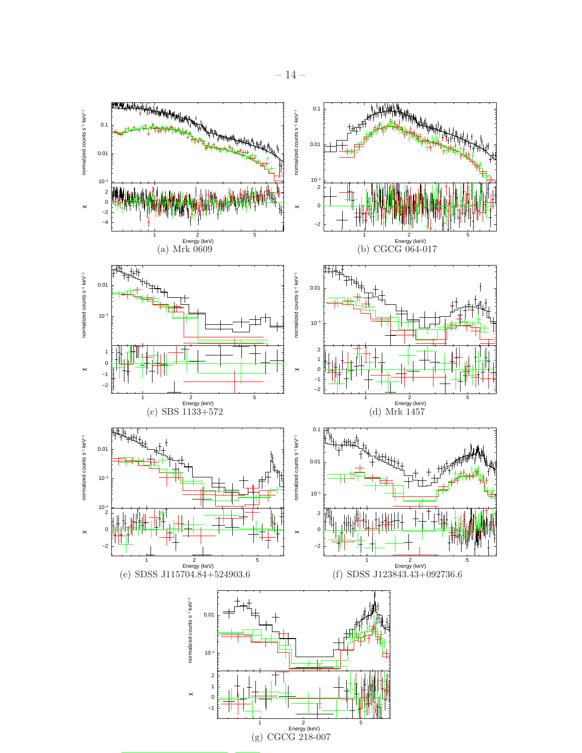<span id="page-13-0"></span>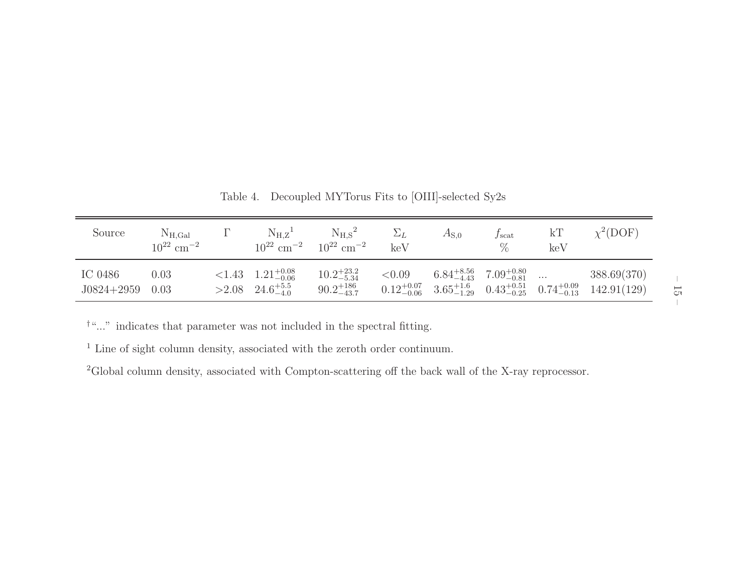| Source                  | $N_{\rm H, Gal}$<br>$10^{22}$ cm <sup>-2</sup> | $N_{H,Z}$ <sup>1</sup><br>$10^{22}$ cm <sup>-2</sup> $10^{22}$ cm <sup>-2</sup>   | $N_{H,S}^2$                                     | $\Sigma_L$<br>keV | $A_\mathrm{S,0}$ | scat<br>$\%$                                  | kT<br>keV | $\chi^2(DOF)$                                                                                                           |
|-------------------------|------------------------------------------------|-----------------------------------------------------------------------------------|-------------------------------------------------|-------------------|------------------|-----------------------------------------------|-----------|-------------------------------------------------------------------------------------------------------------------------|
| IC 0486<br>$J0824+2959$ | 0.03<br>0.03                                   | $\langle 1.43 \quad 1.21_{-0.06}^{+0.08} \rangle$<br>$>2.08$ $24.6^{+5.5}_{-4.0}$ | $10.2^{+23.2}_{-5.34}$<br>$90.2^{+186}_{-43.7}$ | < 0.09            |                  | $6.84^{+8.56}_{-4.43}$ $7.09^{+0.80}_{-0.81}$ |           | 388.69(370)<br>$0.12_{-0.06}^{+0.07}$ $3.65_{-1.29}^{+1.6}$ $0.43_{-0.25}^{+0.51}$ $0.74_{-0.13}^{+0.09}$ $142.91(129)$ |

<span id="page-14-0"></span>Table 4. Decoupled MYTorus Fits to [OIII]-selected Sy2s

 $^{\dagger}$  "..." indicates that parameter was not included in the spectral fitting.

<sup>1</sup> Line of sight column density, associated with the zeroth order continuum.

<sup>2</sup>Global column density, associated with Compton-scattering off the back wall of the X-ray reprocessor.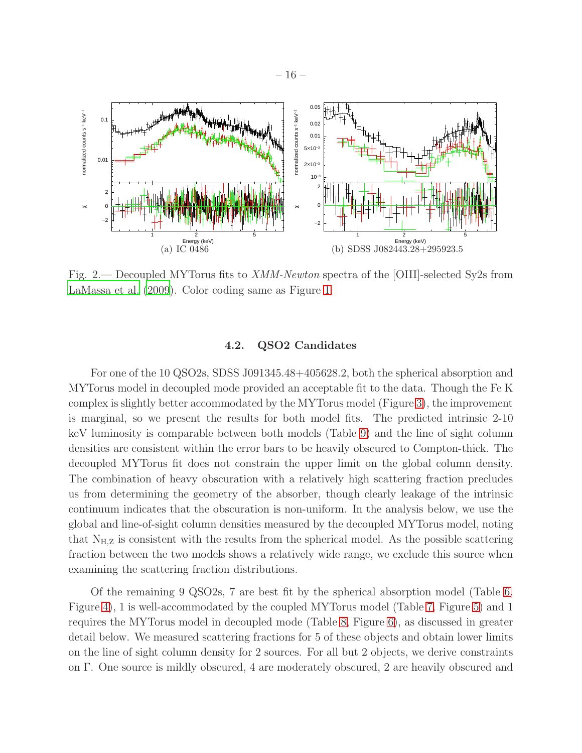

<span id="page-15-0"></span>Fig. 2.— Decoupled MYTorus fits to XMM-Newton spectra of the [OIII]-selected Sy2s from [LaMassa et al. \(2009\)](#page-38-4). Color coding same as Figure [1.](#page-13-0)

# 4.2. QSO2 Candidates

For one of the 10 QSO2s, SDSS J091345.48+405628.2, both the spherical absorption and MYTorus model in decoupled mode provided an acceptable fit to the data. Though the Fe K complex is slightly better accommodated by the MYTorus model (Figure [3\)](#page-17-0), the improvement is marginal, so we present the results for both model fits. The predicted intrinsic 2-10 keV luminosity is comparable between both models (Table [9\)](#page-24-0) and the line of sight column densities are consistent within the error bars to be heavily obscured to Compton-thick. The decoupled MYTorus fit does not constrain the upper limit on the global column density. The combination of heavy obscuration with a relatively high scattering fraction precludes us from determining the geometry of the absorber, though clearly leakage of the intrinsic continuum indicates that the obscuration is non-uniform. In the analysis below, we use the global and line-of-sight column densities measured by the decoupled MYTorus model, noting that  $N_{H,Z}$  is consistent with the results from the spherical model. As the possible scattering fraction between the two models shows a relatively wide range, we exclude this source when examining the scattering fraction distributions.

Of the remaining 9 QSO2s, 7 are best fit by the spherical absorption model (Table [6,](#page-18-0) Figure [4\)](#page-19-0), 1 is well-accommodated by the coupled MYTorus model (Table [7,](#page-20-0) Figure [5\)](#page-21-0) and 1 requires the MYTorus model in decoupled mode (Table [8,](#page-22-0) Figure [6\)](#page-23-0), as discussed in greater detail below. We measured scattering fractions for 5 of these objects and obtain lower limits on the line of sight column density for 2 sources. For all but 2 objects, we derive constraints on Γ. One source is mildly obscured, 4 are moderately obscured, 2 are heavily obscured and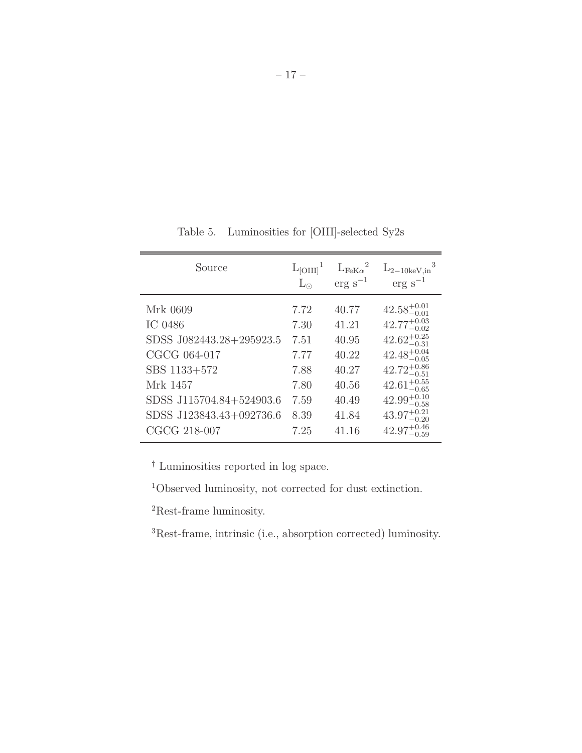| Source                   | $L_{\rm [OIII]}$ <sup>1</sup><br>$L_{\odot}$ | $L_{\rm FeK\alpha}{}^2$<br>$erg s^{-1}$ | $L_{2-10\text{keV,in}}^3$<br>$erg s^{-1}$ |
|--------------------------|----------------------------------------------|-----------------------------------------|-------------------------------------------|
| Mrk 0609                 | 7.72                                         | 40.77                                   | $42.58^{+0.01}_{-0.01}$                   |
| IC 0486                  | 7.30                                         | 41.21                                   | $42.77^{+0.03}_{-0.02}$                   |
| SDSS J082443.28+295923.5 | 7.51                                         | 40.95                                   | $42.62^{+0.25}_{-0.31}$                   |
| CGCG 064-017             | 7.77                                         | 40.22                                   | $42.48^{+0.04}_{-0.05}$                   |
| SBS 1133+572             | 7.88                                         | 40.27                                   | $42.72^{+0.86}_{-0.51}$                   |
| Mrk 1457                 | 7.80                                         | 40.56                                   | $42.61^{+0.55}_{-0.65}$                   |
| SDSS J115704.84+524903.6 | 7.59                                         | 40.49                                   | $42.99^{+0.10}_{-0.58}$                   |
| SDSS J123843.43+092736.6 | 8.39                                         | 41.84                                   | $43.97^{+0.21}_{-0.20}$                   |
| CGCG 218-007             | 7.25                                         | 41.16                                   | $42.97^{+0.46}_{-0.59}$                   |

<span id="page-16-0"></span>Table 5. Luminosities for [OIII]-selected Sy2s

† Luminosities reported in log space.

 $^1\rm{Observed}$  luminosity, not corrected for dust extinction.

 $\rm ^{2}Rest\mbox{-}frame$  luminosity.

<sup>3</sup>Rest-frame, intrinsic (i.e., absorption corrected) luminosity.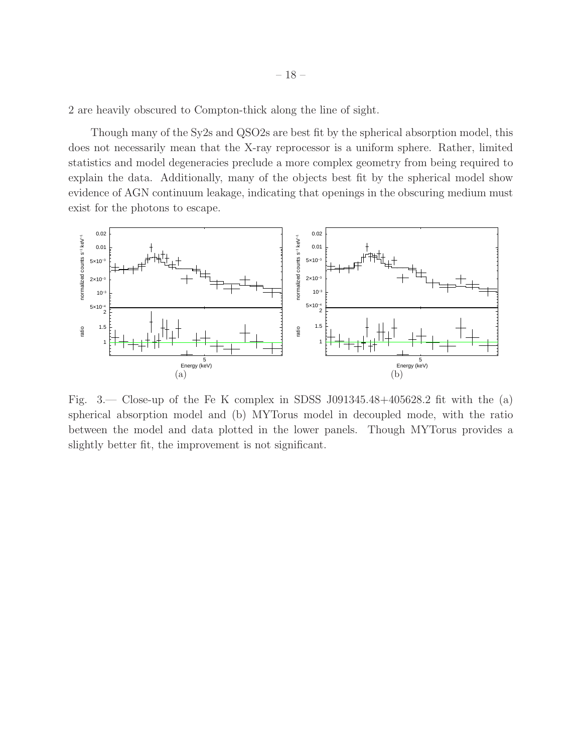2 are heavily obscured to Compton-thick along the line of sight.

Though many of the Sy2s and QSO2s are best fit by the spherical absorption model, this does not necessarily mean that the X-ray reprocessor is a uniform sphere. Rather, limited statistics and model degeneracies preclude a more complex geometry from being required to explain the data. Additionally, many of the objects best fit by the spherical model show evidence of AGN continuum leakage, indicating that openings in the obscuring medium must exist for the photons to escape.



<span id="page-17-0"></span>Fig. 3.— Close-up of the Fe K complex in SDSS J091345.48+405628.2 fit with the (a) spherical absorption model and (b) MYTorus model in decoupled mode, with the ratio between the model and data plotted in the lower panels. Though MYTorus provides a slightly better fit, the improvement is not significant.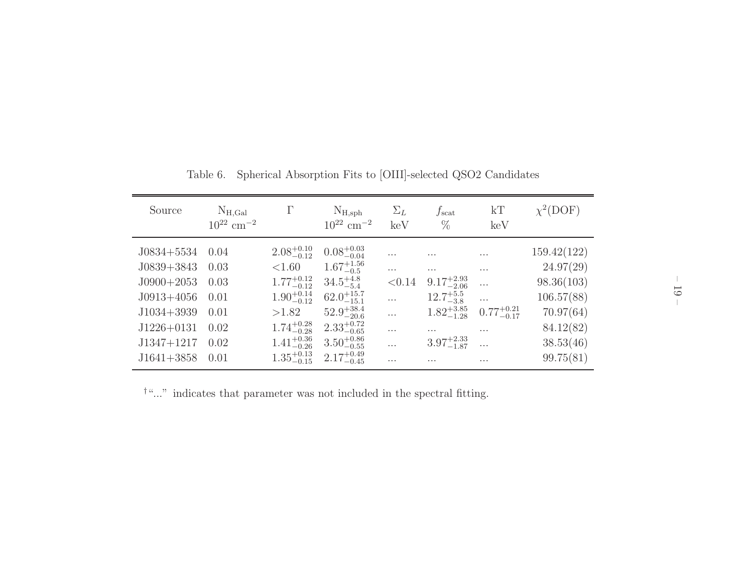| $10^{22}$ cm <sup>-2</sup>                                                                                                                                                                   |                                                                                                                                                                                | $10^{22}$ cm <sup>-2</sup>                                                                                                                                                                                | $\Sigma_L$<br>keV                                                              | $f_{\rm scat}$<br>$\%$                                                                                                          | kT<br>keV                                                  | $\chi^2(DOF)$                                                                                            |
|----------------------------------------------------------------------------------------------------------------------------------------------------------------------------------------------|--------------------------------------------------------------------------------------------------------------------------------------------------------------------------------|-----------------------------------------------------------------------------------------------------------------------------------------------------------------------------------------------------------|--------------------------------------------------------------------------------|---------------------------------------------------------------------------------------------------------------------------------|------------------------------------------------------------|----------------------------------------------------------------------------------------------------------|
| $J0834+5534$<br>0.04<br>$J0839+3843$<br>0.03<br>$J0900+2053$<br>0.03<br>$J0913+4056$<br>0.01<br>$J1034+3939$<br>0.01<br>$J1226+0131$<br>0.02<br>$J1347+1217$<br>0.02<br>$J1641+3858$<br>0.01 | $2.08^{+0.10}_{-0.12}$<br>${<}1.60$<br>$1.77^{+0.12}_{-0.12}$<br>$1.90^{+0.14}_{-0.12}$<br>>1.82<br>$1.74^{+0.28}_{-0.28}$<br>$1.41^{+0.36}_{-0.26}$<br>$1.35_{-0.15}^{+0.13}$ | $0.08^{+0.03}_{-0.04}$<br>$1.67^{+1.56}_{-0.5}$<br>$34.5^{+4.8}_{-5.4}$<br>$62.0^{+15.7}_{-15.1}$<br>$52.9^{+38.4}_{-20.6}$<br>$2.33_{-0.65}^{+0.72}$<br>$3.50^{+0.86}_{-0.55}$<br>$2.17^{+0.49}_{-0.45}$ | $\cdots$<br>$\cdots$<br>< 0.14<br>$\cdots$<br>$\cdots$<br>$\cdots$<br>$\cdots$ | .<br>$\cdots$<br>$9.17^{+2.93}_{-2.06}$<br>$12.7^{+5.5}_{-3.8}$<br>$1.82_{-1.28}^{+3.85}$<br>$\cdots$<br>$3.97^{+2.33}_{-1.87}$ | $\cdots$<br>$\cdots$<br>$0.77^{+0.21}_{-0.17}$<br>$\cdots$ | 159.42(122)<br>24.97(29)<br>98.36(103)<br>106.57(88)<br>70.97(64)<br>84.12(82)<br>38.53(46)<br>99.75(81) |

<span id="page-18-0"></span>Table 6. Spherical Absorption Fits to [OIII]-selected QSO2 Candidates

 ${}^{\dagger}$  "..." indicates that parameter was not included in the spectral fitting.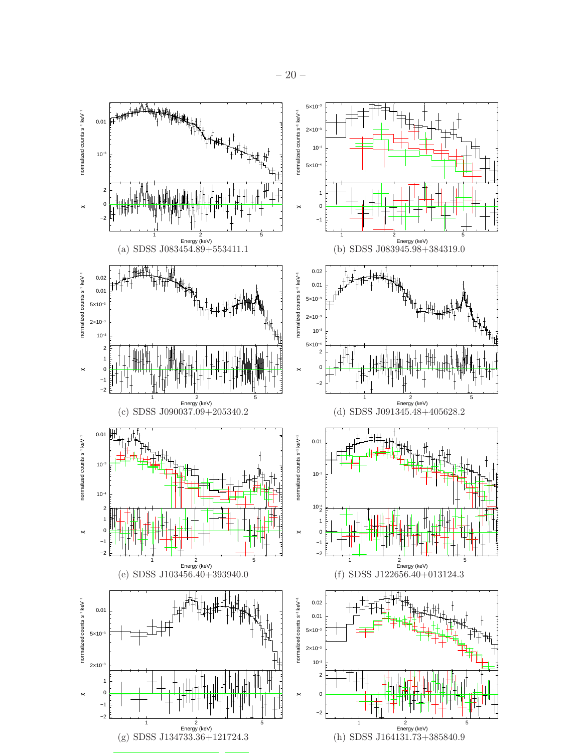<span id="page-19-0"></span>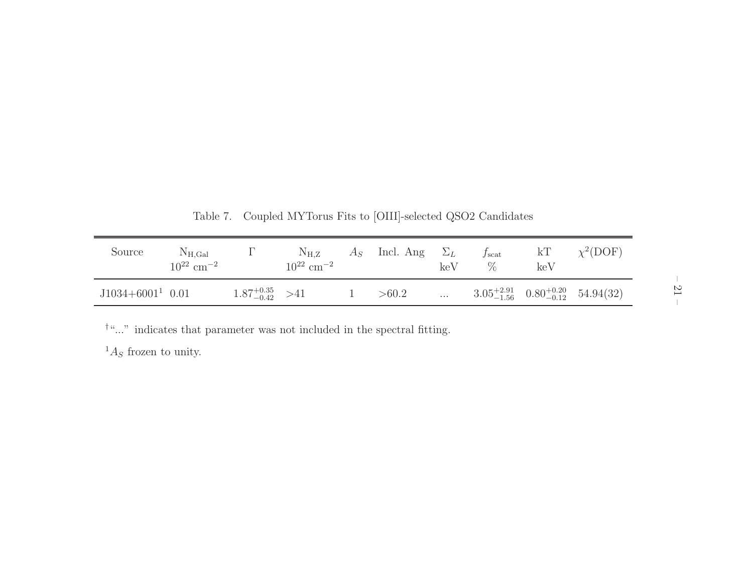| Source              | $N_{\rm H, Gal}$<br>$10^{22}$ cm <sup>-2</sup> |                            | $N_{H,Z}$<br>$10^{22}$ cm <sup>-2</sup> | $A_S$ Incl. Ang | $\Sigma_L$<br>keV | $f_{\rm scat}$ | kT<br>keV                                                 | $\chi^2(DOF)$ |
|---------------------|------------------------------------------------|----------------------------|-----------------------------------------|-----------------|-------------------|----------------|-----------------------------------------------------------|---------------|
| $J1034+6001^1$ 0.01 |                                                | $1.87^{+0.35}_{-0.42}$ >41 |                                         | >60.2           | $\cdots$          |                | $3.05_{-1.56}^{+2.91}$ $0.80_{-0.12}^{+0.20}$ $54.94(32)$ |               |

<span id="page-20-0"></span>Table 7. Coupled MYTorus Fits to [OIII]-selected QSO2 Candidates

 $^{\dagger}$  "..." indicates that parameter was not included in the spectral fitting.

 ${}^{1}A_{S}$  frozen to unity.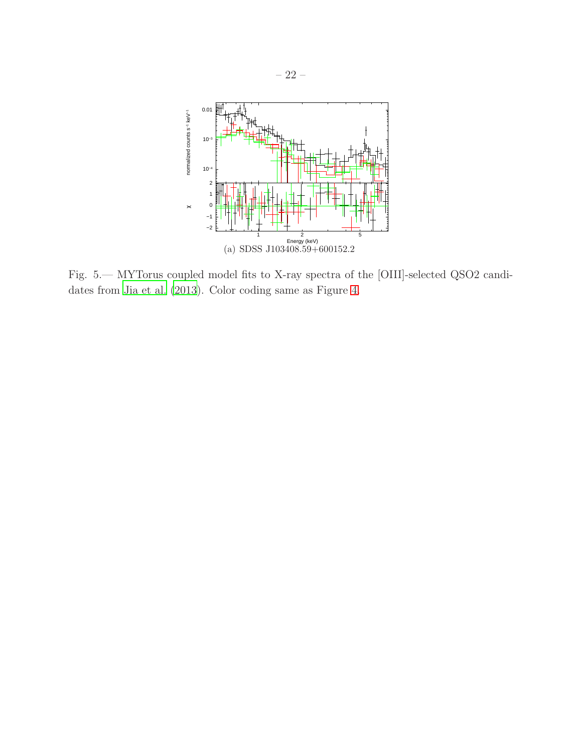

<span id="page-21-0"></span>Fig. 5.— MYTorus coupled model fits to X-ray spectra of the [OIII]-selected QSO2 candidates from [Jia et al. \(2013](#page-38-5)). Color coding same as Figure [4.](#page-19-0)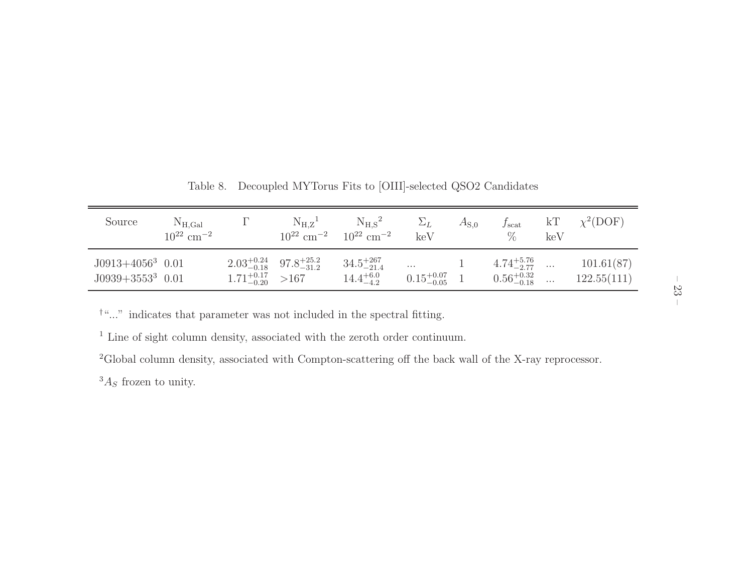| Source                                     | $N_{H, Gal}$<br>$10^{22}$ cm <sup>-2</sup> |                             | $N_{H,Z}^{-1}$                                | $N_{H,S}^2$<br>$10^{22}$ cm <sup>-2</sup> $10^{22}$ cm <sup>-2</sup> | $\Sigma_L$<br>keV                    | $A_{\rm S,0}$ | $f_{\rm scat}$<br>$\%$                           | kT<br>keV            | $\chi^2(DOF)$             |
|--------------------------------------------|--------------------------------------------|-----------------------------|-----------------------------------------------|----------------------------------------------------------------------|--------------------------------------|---------------|--------------------------------------------------|----------------------|---------------------------|
| $J0913+4056^3$ 0.01<br>$J0939+3553^3$ 0.01 |                                            | $1.71^{+0.17}_{-0.20}$ >167 | $2.03_{-0.18}^{+0.24}$ $97.8_{-31.2}^{+25.2}$ | $34.5^{+267}_{-21.4}$<br>$14.4^{+6.0}_{-4.2}$                        | $\cdots$<br>$0.15^{+0.07}_{-0.05}$ 1 |               | $4.74^{+5.76}_{-2.77}$<br>$0.56^{+0.32}_{-0.18}$ | $\cdots$<br>$\cdots$ | 101.61(87)<br>122.55(111) |

<span id="page-22-0"></span>Table 8. Decoupled MYTorus Fits to [OIII]-selected QSO2 Candidates

†"..." indicates that parameter was not included in the spectral fitting.

<sup>1</sup> Line of sight column density, associated with the zeroth order continuum.

<sup>2</sup>Global column density, associated with Compton-scattering off the back wall of the X-ray reprocessor.

 ${}^3A_S$  frozen to unity.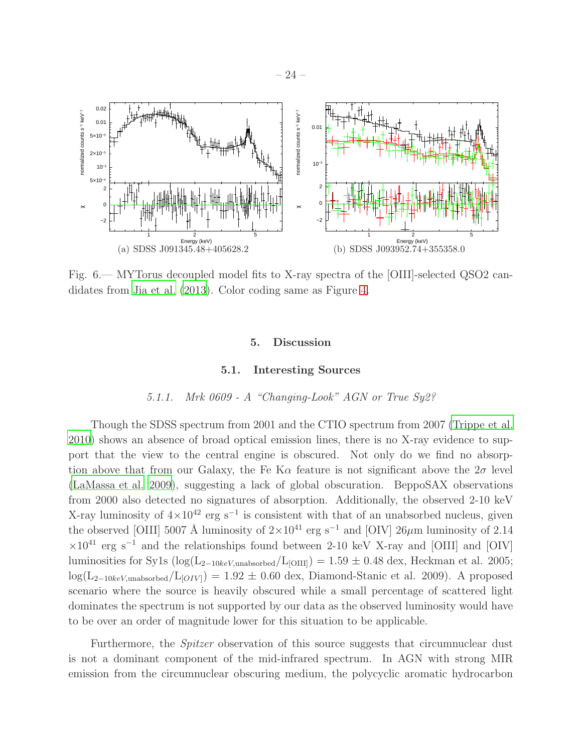

<span id="page-23-0"></span>Fig. 6.— MYTorus decoupled model fits to X-ray spectra of the [OIII]-selected QSO2 candidates from [Jia et al. \(2013\)](#page-38-5). Color coding same as Figure [4.](#page-19-0)

# 5. Discussion

# 5.1. Interesting Sources

# 5.1.1. Mrk 0609 - A "Changing-Look" AGN or True Sy2?

Though the SDSS spectrum from 2001 and the CTIO spectrum from 2007 [\(Trippe et al.](#page-39-6) [2010\)](#page-39-6) shows an absence of broad optical emission lines, there is no X-ray evidence to support that the view to the central engine is obscured. Not only do we find no absorption above that from our Galaxy, the Fe K $\alpha$  feature is not significant above the  $2\sigma$  level [\(LaMassa et al. 2009](#page-38-4)), suggesting a lack of global obscuration. BeppoSAX observations from 2000 also detected no signatures of absorption. Additionally, the observed 2-10 keV X-ray luminosity of  $4 \times 10^{42}$  erg s<sup>-1</sup> is consistent with that of an unabsorbed nucleus, given the observed [OIII] 5007 Å luminosity of  $2\times10^{41}$  erg s<sup>-1</sup> and [OIV] 26 $\mu$ m luminosity of 2.14  $\times10^{41}$  erg s<sup>-1</sup> and the relationships found between 2-10 keV X-ray and [OIII] and [OIV] luminosities for Sy1s (log(L<sub>2−10keV,unabsorbed</sub>/L<sub>[OIII]</sub>) = 1.59 ± 0.48 dex, Heckman et al. 2005;  $log(L_{2-10\text{keV,unabsorbed}}/L_{[OIV]}) = 1.92 \pm 0.60$  dex, Diamond-Stanic et al. 2009). A proposed scenario where the source is heavily obscured while a small percentage of scattered light dominates the spectrum is not supported by our data as the observed luminosity would have to be over an order of magnitude lower for this situation to be applicable.

Furthermore, the *Spitzer* observation of this source suggests that circumnuclear dust is not a dominant component of the mid-infrared spectrum. In AGN with strong MIR emission from the circumnuclear obscuring medium, the polycyclic aromatic hydrocarbon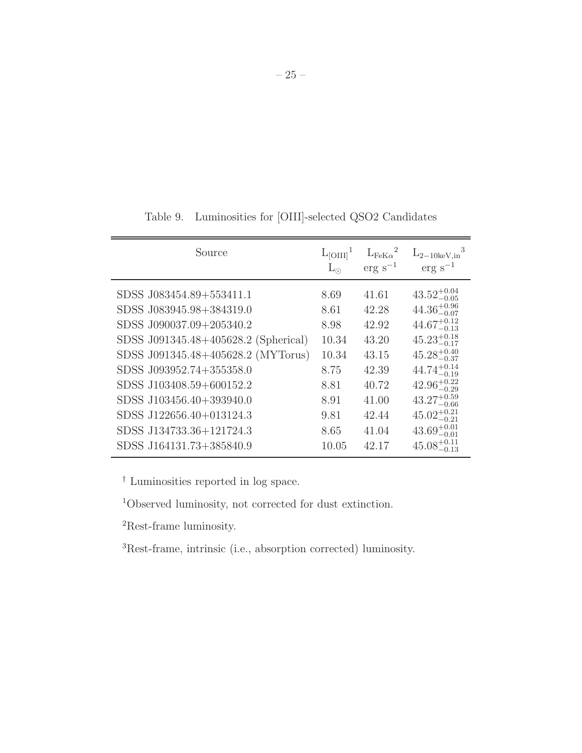| Source                                               | $L_{\rm [OIII]}$ <sup>1</sup><br>$L_{\odot}$ | $L_{\rm FeK\alpha}^2$<br>$erg s^{-1}$ | $L_{2-10\text{keV,in}}^3$<br>$erg s^{-1}$          |
|------------------------------------------------------|----------------------------------------------|---------------------------------------|----------------------------------------------------|
| SDSS J083454.89+553411.1                             | 8.69                                         | 41.61                                 | $43.52^{+0.04}_{-0.05}$                            |
| SDSS J083945.98+384319.0<br>SDSS J090037.09+205340.2 | 8.61<br>8.98                                 | 42.28<br>42.92                        | $44.36^{+0.96}_{-0.07}$<br>$44.67^{+0.12}_{-0.13}$ |
| SDSS J091345.48+405628.2 (Spherical)                 | 10.34                                        | 43.20                                 | $45.23_{-0.17}^{+0.18}$                            |
| SDSS J091345.48+405628.2 (MYTorus)                   | 10.34                                        | 43.15                                 | $45.28_{-0.37}^{+0.40}$                            |
| SDSS J093952.74+355358.0                             | 8.75                                         | 42.39                                 | $44.74\substack{+0.14 \\ -0.19}$                   |
| SDSS J103408.59+600152.2                             | 8.81                                         | 40.72                                 | $42.96^{+0.22}_{-0.29}$                            |
| SDSS J103456.40+393940.0                             | 8.91                                         | 41.00                                 | $43.27^{+0.59}_{-0.66}$                            |
| SDSS J122656.40+013124.3<br>SDSS J134733.36+121724.3 | 9.81<br>8.65                                 | 42.44<br>41.04                        | $45.02^{+0.21}_{-0.21}$                            |
| SDSS J164131.73+385840.9                             | 10.05                                        | 42.17                                 | $43.69^{+0.01}_{-0.01}$<br>$45.08^{+0.11}_{-0.13}$ |

<span id="page-24-0"></span>Table 9. Luminosities for [OIII]-selected QSO2 Candidates

† Luminosities reported in log space.

 $\rm ^1Observed$  luminosity, not corrected for dust extinction.

<sup>2</sup>Rest-frame luminosity.

<sup>3</sup>Rest-frame, intrinsic (i.e., absorption corrected) luminosity.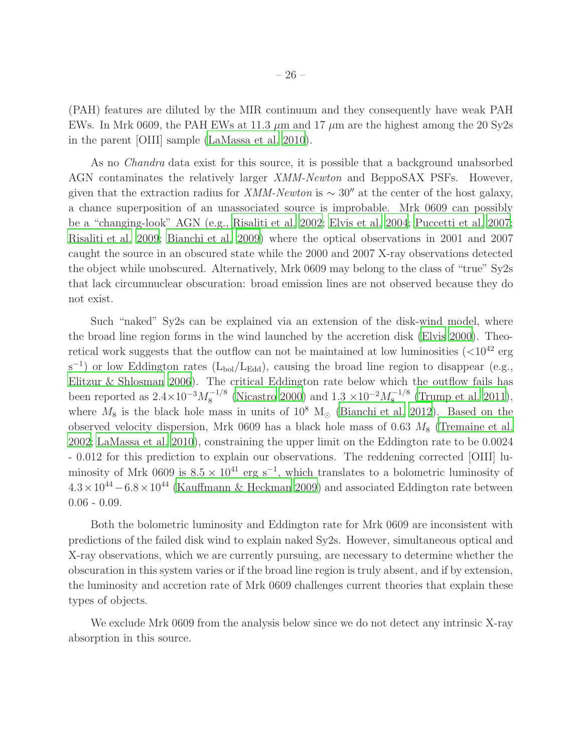(PAH) features are diluted by the MIR continuum and they consequently have weak PAH EWs. In Mrk 0609, the PAH EWs at 11.3  $\mu$ m and 17  $\mu$ m are the highest among the 20 Sy2s in the parent [OIII] sample [\(LaMassa et al. 2010](#page-38-3)).

As no Chandra data exist for this source, it is possible that a background unabsorbed AGN contaminates the relatively larger XMM-Newton and BeppoSAX PSFs. However, given that the extraction radius for *XMM-Newton* is  $\sim 30''$  at the center of the host galaxy, a chance superposition of an unassociated source is improbable. Mrk 0609 can possibly be a "changing-look" AGN (e.g., [Risaliti et al. 2002](#page-38-15); [Elvis et al. 2004](#page-37-12); [Puccetti et al. 2007;](#page-38-16) [Risaliti et al. 2009;](#page-38-17) [Bianchi et al. 2009](#page-37-13)) where the optical observations in 2001 and 2007 caught the source in an obscured state while the 2000 and 2007 X-ray observations detected the object while unobscured. Alternatively, Mrk 0609 may belong to the class of "true" Sy2s that lack circumnuclear obscuration: broad emission lines are not observed because they do not exist.

Such "naked" Sy2s can be explained via an extension of the disk-wind model, where the broad line region forms in the wind launched by the accretion disk [\(Elvis 2000\)](#page-37-14). Theoretical work suggests that the outflow can not be maintained at low luminosities  $(<10^{42}$  erg  $(s^{-1})$  or low Eddington rates ( $L_{bol}/L_{Edd}$ ), causing the broad line region to disappear (e.g., [Elitzur & Shlosman 2006](#page-37-15)). The critical Eddington rate below which the outflow fails has been reported as  $2.4\times10^{-3}M_8^{-1/8}$  $^{1/8}_{8}$  [\(Nicastro 2000](#page-38-18)) and  $1.3 \times 10^{-2} M_8^{-1/8}$  $_8^{\text{--}1/8}$  [\(Trump et al. 2011](#page-39-7)), where  $M_8$  is the black hole mass in units of  $10^8$  M<sub>☉</sub> [\(Bianchi et al. 2012\)](#page-37-16). Based on the observed velocity dispersion, Mrk 0609 has a black hole mass of 0.63  $M_8$  [\(Tremaine et al.](#page-39-8) [2002;](#page-39-8) [LaMassa et al. 2010\)](#page-38-3), constraining the upper limit on the Eddington rate to be 0.0024 - 0.012 for this prediction to explain our observations. The reddening corrected [OIII] luminosity of Mrk 0609 is  $8.5 \times 10^{41}$  erg s<sup>-1</sup>, which translates to a bolometric luminosity of  $4.3 \times 10^{44} - 6.8 \times 10^{44}$  [\(Kauffmann & Heckman 2009\)](#page-38-19) and associated Eddington rate between 0.06 - 0.09.

Both the bolometric luminosity and Eddington rate for Mrk 0609 are inconsistent with predictions of the failed disk wind to explain naked Sy2s. However, simultaneous optical and X-ray observations, which we are currently pursuing, are necessary to determine whether the obscuration in this system varies or if the broad line region is truly absent, and if by extension, the luminosity and accretion rate of Mrk 0609 challenges current theories that explain these types of objects.

We exclude Mrk 0609 from the analysis below since we do not detect any intrinsic X-ray absorption in this source.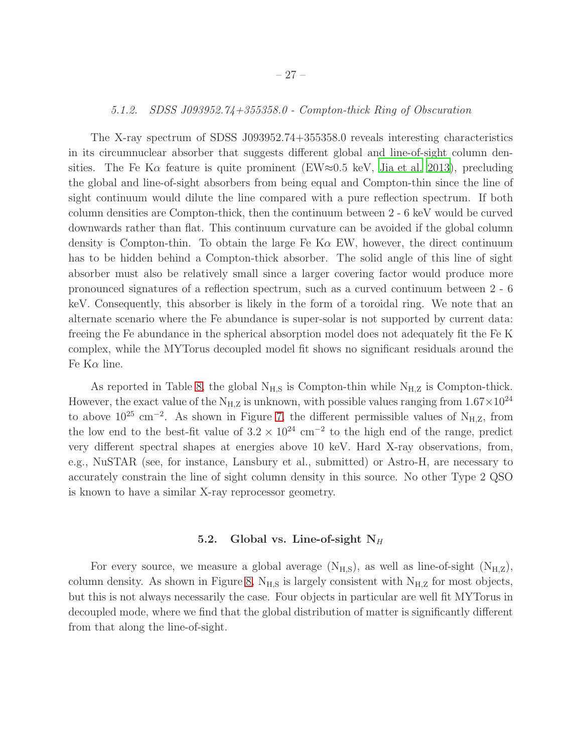# 5.1.2. SDSS J093952.74+355358.0 - Compton-thick Ring of Obscuration

The X-ray spectrum of SDSS J093952.74+355358.0 reveals interesting characteristics in its circumnuclear absorber that suggests different global and line-of-sight column densities. The Fe K $\alpha$  feature is quite prominent (EW≈0.5 keV, [Jia et al. 2013](#page-38-5)), precluding the global and line-of-sight absorbers from being equal and Compton-thin since the line of sight continuum would dilute the line compared with a pure reflection spectrum. If both column densities are Compton-thick, then the continuum between 2 - 6 keV would be curved downwards rather than flat. This continuum curvature can be avoided if the global column density is Compton-thin. To obtain the large Fe  $K\alpha$  EW, however, the direct continuum has to be hidden behind a Compton-thick absorber. The solid angle of this line of sight absorber must also be relatively small since a larger covering factor would produce more pronounced signatures of a reflection spectrum, such as a curved continuum between 2 - 6 keV. Consequently, this absorber is likely in the form of a toroidal ring. We note that an alternate scenario where the Fe abundance is super-solar is not supported by current data: freeing the Fe abundance in the spherical absorption model does not adequately fit the Fe K complex, while the MYTorus decoupled model fit shows no significant residuals around the Fe K $\alpha$  line.

As reported in Table [8,](#page-22-0) the global  $N_{H,S}$  is Compton-thin while  $N_{H,Z}$  is Compton-thick. However, the exact value of the N<sub>H,Z</sub> is unknown, with possible values ranging from  $1.67\times10^{24}$ to above  $10^{25}$  cm<sup>-2</sup>. As shown in Figure [7,](#page-29-0) the different permissible values of N<sub>H,Z</sub>, from the low end to the best-fit value of  $3.2 \times 10^{24}$  cm<sup>-2</sup> to the high end of the range, predict very different spectral shapes at energies above 10 keV. Hard X-ray observations, from, e.g., NuSTAR (see, for instance, Lansbury et al., submitted) or Astro-H, are necessary to accurately constrain the line of sight column density in this source. No other Type 2 QSO is known to have a similar X-ray reprocessor geometry.

#### 5.2. Global vs. Line-of-sight  $N_H$

For every source, we measure a global average  $(N_{H,S})$ , as well as line-of-sight  $(N_{H,Z})$ , column density. As shown in Figure [8,](#page-30-0)  $N_{H,S}$  is largely consistent with  $N_{H,Z}$  for most objects, but this is not always necessarily the case. Four objects in particular are well fit MYTorus in decoupled mode, where we find that the global distribution of matter is significantly different from that along the line-of-sight.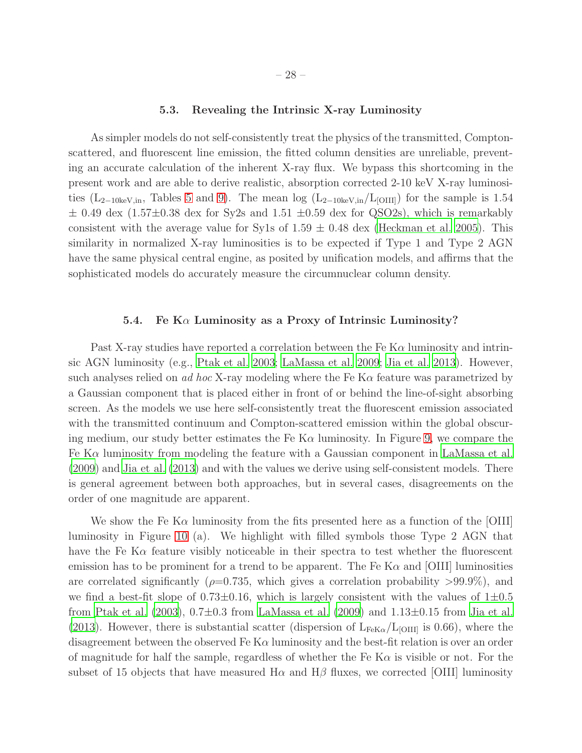# 5.3. Revealing the Intrinsic X-ray Luminosity

As simpler models do not self-consistently treat the physics of the transmitted, Comptonscattered, and fluorescent line emission, the fitted column densities are unreliable, preventing an accurate calculation of the inherent X-ray flux. We bypass this shortcoming in the present work and are able to derive realistic, absorption corrected 2-10 keV X-ray luminosi-ties (L<sub>2−10keV,in</sub>, Tables [5](#page-16-0) and [9\)](#page-24-0). The mean log (L<sub>2−10keV,in</sub>/L<sub>[OIII]</sub>) for the sample is 1.54  $\pm$  0.49 dex (1.57 $\pm$ 0.38 dex for Sy2s and 1.51  $\pm$ 0.59 dex for QSO2s), which is remarkably consistent with the average value for Sy1s of  $1.59 \pm 0.48$  dex [\(Heckman et al. 2005\)](#page-37-6). This similarity in normalized X-ray luminosities is to be expected if Type 1 and Type 2 AGN have the same physical central engine, as posited by unification models, and affirms that the sophisticated models do accurately measure the circumnuclear column density.

## 5.4. Fe  $K\alpha$  Luminosity as a Proxy of Intrinsic Luminosity?

Past X-ray studies have reported a correlation between the Fe K $\alpha$  luminosity and intrinsic AGN luminosity (e.g., [Ptak et al. 2003](#page-38-7); [LaMassa et al. 2009](#page-38-4); [Jia et al.](#page-38-5) [2013\)](#page-38-5). However, such analyses relied on ad hoc X-ray modeling where the Fe K $\alpha$  feature was parametrized by a Gaussian component that is placed either in front of or behind the line-of-sight absorbing screen. As the models we use here self-consistently treat the fluorescent emission associated with the transmitted continuum and Compton-scattered emission within the global obscuring medium, our study better estimates the Fe K $\alpha$  luminosity. In Figure [9,](#page-31-0) we compare the Fe Kα luminosity from modeling the feature with a Gaussian component in [LaMassa et al.](#page-38-4) [\(2009\)](#page-38-4) and [Jia et al. \(2013](#page-38-5)) and with the values we derive using self-consistent models. There is general agreement between both approaches, but in several cases, disagreements on the order of one magnitude are apparent.

We show the Fe K $\alpha$  luminosity from the fits presented here as a function of the [OIII] luminosity in Figure [10](#page-32-0) (a). We highlight with filled symbols those Type 2 AGN that have the Fe K $\alpha$  feature visibly noticeable in their spectra to test whether the fluorescent emission has to be prominent for a trend to be apparent. The Fe  $K\alpha$  and [OIII] luminosities are correlated significantly ( $\rho$ =0.735, which gives a correlation probability >99.9%), and we find a best-fit slope of  $0.73\pm0.16$ , which is largely consistent with the values of  $1\pm0.5$ from [Ptak et al. \(2003](#page-38-7)),  $0.7\pm0.3$  from [LaMassa et al. \(2009\)](#page-38-4) and  $1.13\pm0.15$  from [Jia et al.](#page-38-5) [\(2013\)](#page-38-5). However, there is substantial scatter (dispersion of  $L_{Feka}/L_{[OIII]}$  is 0.66), where the disagreement between the observed Fe K $\alpha$  luminosity and the best-fit relation is over an order of magnitude for half the sample, regardless of whether the Fe  $K\alpha$  is visible or not. For the subset of 15 objects that have measured  $H\alpha$  and  $H\beta$  fluxes, we corrected [OIII] luminosity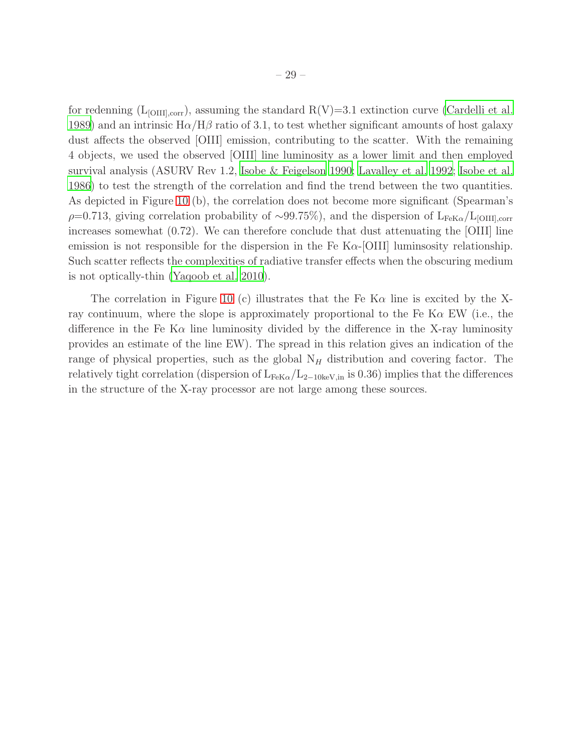for redenning ( $L_{\text{[OIII],corr}}$ ), assuming the standard  $R(V)=3.1$  extinction curve [\(Cardelli et al.](#page-37-17) [1989\)](#page-37-17) and an intrinsic  $H\alpha/H\beta$  ratio of 3.1, to test whether significant amounts of host galaxy dust affects the observed [OIII] emission, contributing to the scatter. With the remaining 4 objects, we used the observed [OIII] line luminosity as a lower limit and then employed survival analysis (ASURV Rev 1.2, [Isobe & Feigelson 1990](#page-37-18); [Lavalley et](#page-38-20) al. [1992;](#page-38-20) [Isobe et al.](#page-38-21) [1986\)](#page-38-21) to test the strength of the correlation and find the trend between the two quantities. As depicted in Figure [10](#page-32-0) (b), the correlation does not become more significant (Spearman's ρ=0.713, giving correlation probability of ~99.75%), and the dispersion of L<sub>FeKα</sub>/L<sub>[OIII],corr</sub> increases somewhat (0.72). We can therefore conclude that dust attenuating the [OIII] line emission is not responsible for the dispersion in the Fe  $K\alpha$ -[OIII] luminsosity relationship. Such scatter reflects the complexities of radiative transfer effects when the obscuring medium is not optically-thin [\(Yaqoob et al. 2010](#page-39-9)).

The correlation in Figure [10](#page-32-0) (c) illustrates that the Fe K $\alpha$  line is excited by the Xray continuum, where the slope is approximately proportional to the Fe K $\alpha$  EW (i.e., the difference in the Fe K $\alpha$  line luminosity divided by the difference in the X-ray luminosity provides an estimate of the line EW). The spread in this relation gives an indication of the range of physical properties, such as the global  $N_H$  distribution and covering factor. The relatively tight correlation (dispersion of  $L_{Fek\alpha}/L_{2-10keV,in}$  is 0.36) implies that the differences in the structure of the X-ray processor are not large among these sources.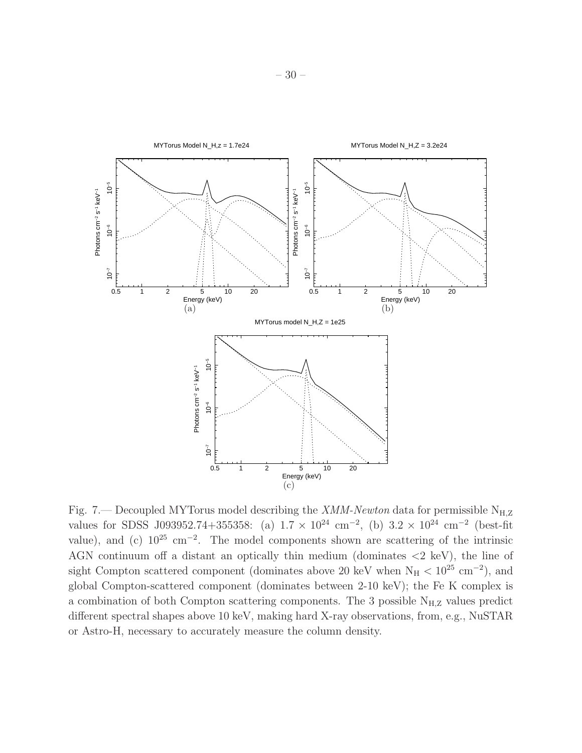

<span id="page-29-0"></span>Fig. 7.— Decoupled MYTorus model describing the XMM-Newton data for permissible  $N_{H,Z}$ values for SDSS J093952.74+355358: (a)  $1.7 \times 10^{24}$  cm<sup>-2</sup>, (b)  $3.2 \times 10^{24}$  cm<sup>-2</sup> (best-fit value), and (c)  $10^{25}$  cm<sup>-2</sup>. The model components shown are scattering of the intrinsic AGN continuum off a distant an optically thin medium (dominates  $\langle 2 \text{ keV} \rangle$ , the line of sight Compton scattered component (dominates above 20 keV when  $N_H < 10^{25}$  cm<sup>-2</sup>), and global Compton-scattered component (dominates between 2-10 keV); the Fe K complex is a combination of both Compton scattering components. The 3 possible  $N_{H,Z}$  values predict different spectral shapes above 10 keV, making hard X-ray observations, from, e.g., NuSTAR or Astro-H, necessary to accurately measure the column density.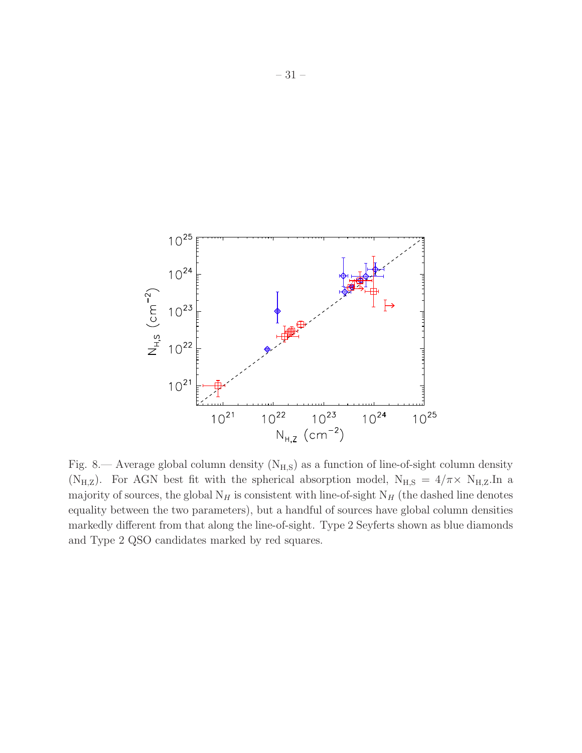

<span id="page-30-0"></span>Fig. 8.— Average global column density  $(N_{H,S})$  as a function of line-of-sight column density (N<sub>H,Z</sub>). For AGN best fit with the spherical absorption model,  $N_{H,S} = 4/\pi \times N_{H,Z}.$ In a majority of sources, the global  $N_H$  is consistent with line-of-sight  $N_H$  (the dashed line denotes equality between the two parameters), but a handful of sources have global column densities markedly different from that along the line-of-sight. Type 2 Seyferts shown as blue diamonds and Type 2 QSO candidates marked by red squares.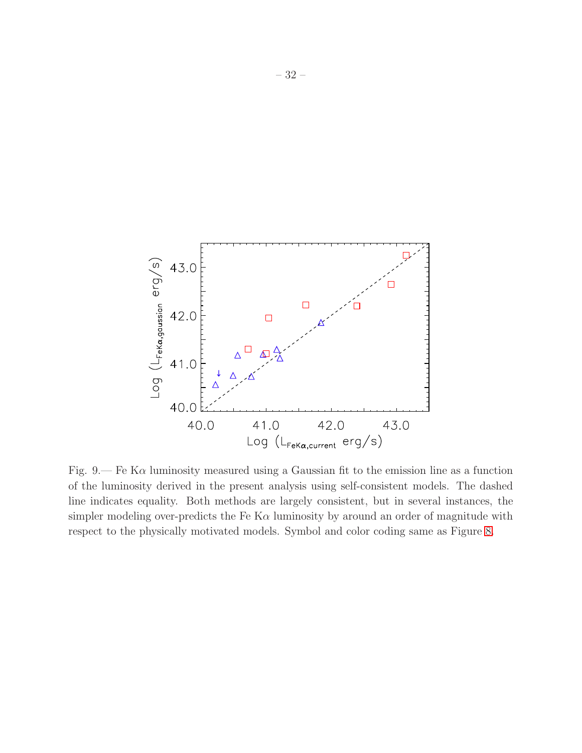

<span id="page-31-0"></span>Fig. 9.— Fe K $\alpha$  luminosity measured using a Gaussian fit to the emission line as a function of the luminosity derived in the present analysis using self-consistent models. The dashed line indicates equality. Both methods are largely consistent, but in several instances, the simpler modeling over-predicts the Fe K $\alpha$  luminosity by around an order of magnitude with respect to the physically motivated models. Symbol and color coding same as Figure [8.](#page-30-0)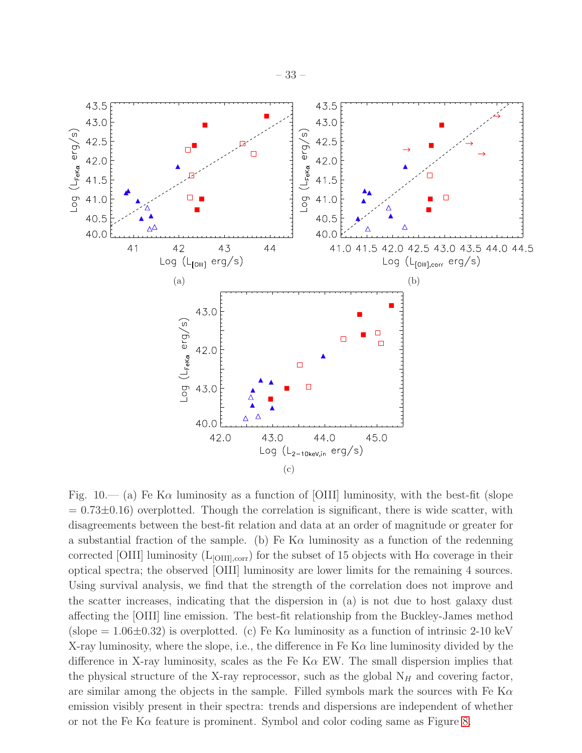

<span id="page-32-0"></span>Fig. 10.— (a) Fe K $\alpha$  luminosity as a function of [OIII] luminosity, with the best-fit (slope  $= 0.73\pm0.16$ ) overplotted. Though the correlation is significant, there is wide scatter, with disagreements between the best-fit relation and data at an order of magnitude or greater for a substantial fraction of the sample. (b) Fe K $\alpha$  luminosity as a function of the redenning corrected [OIII] luminosity ( $L_{\text{[OIII]},\text{corr}}$ ) for the subset of 15 objects with  $H\alpha$  coverage in their optical spectra; the observed [OIII] luminosity are lower limits for the remaining 4 sources. Using survival analysis, we find that the strength of the correlation does not improve and the scatter increases, indicating that the dispersion in (a) is not due to host galaxy dust affecting the [OIII] line emission. The best-fit relationship from the Buckley-James method (slope  $= 1.06 \pm 0.32$ ) is overplotted. (c) Fe K $\alpha$  luminosity as a function of intrinsic 2-10 keV X-ray luminosity, where the slope, i.e., the difference in Fe K $\alpha$  line luminosity divided by the difference in X-ray luminosity, scales as the Fe K $\alpha$  EW. The small dispersion implies that the physical structure of the X-ray reprocessor, such as the global  $N_H$  and covering factor, are similar among the objects in the sample. Filled symbols mark the sources with Fe  $K\alpha$ emission visibly present in their spectra: trends and dispersions are independent of whether or not the Fe K $\alpha$  feature is prominent. Symbol and color coding same as Figure [8.](#page-30-0)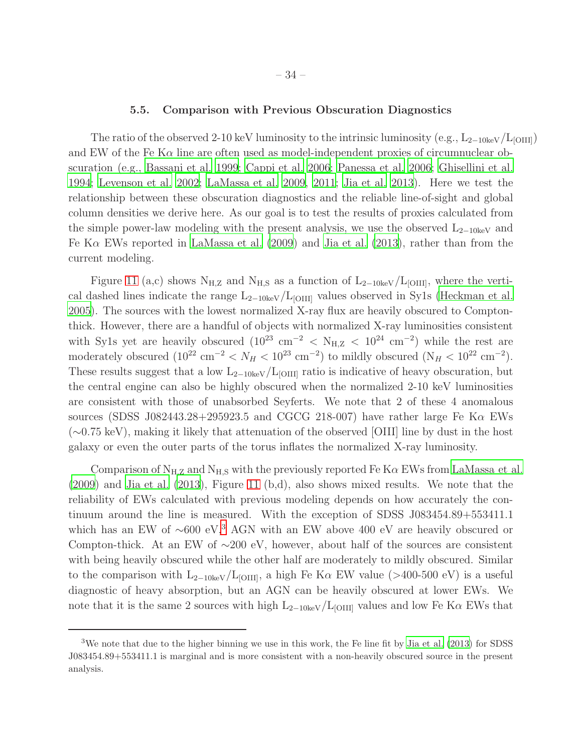## 5.5. Comparison with Previous Obscuration Diagnostics

The ratio of the observed 2-10 keV luminosity to the intrinsic luminosity (e.g., L<sub>2−10keV</sub>/L<sub>[OIII]</sub>) and EW of the Fe  $K\alpha$  line are often used as model-independent proxies of circumnuclear obscuration (e.g., [Bassani et al. 1999;](#page-37-2) [Cappi et al. 2006;](#page-37-4) [Panessa et](#page-38-2) al. [2006;](#page-38-2) [Ghisellini et al.](#page-37-5) [1994;](#page-37-5) [Levenson et al. 2002;](#page-38-6) [LaMassa et al. 2009](#page-38-4), [2011](#page-38-22); [Jia et al. 2013](#page-38-5)). Here we test the relationship between these obscuration diagnostics and the reliable line-of-sight and global column densities we derive here. As our goal is to test the results of proxies calculated from the simple power-law modeling with the present analysis, we use the observed  $L_{2-10\text{keV}}$  and Fe K $\alpha$  EWs reported in [LaMassa et al. \(2009\)](#page-38-4) and [Jia et al. \(2013\)](#page-38-5), rather than from the current modeling.

Figure [11](#page-40-0) (a,c) shows N<sub>H,Z</sub> and N<sub>H,S</sub> as a function of L<sub>2−10keV</sub>/L<sub>[OIII]</sub>, where the vertical dashed lines indicate the range  $L_{2-10\text{keV}}/L_{\text{[OIII]}}$  values observed in Sy1s [\(Heckman et al.](#page-37-6) [2005\)](#page-37-6). The sources with the lowest normalized X-ray flux are heavily obscured to Comptonthick. However, there are a handful of objects with normalized X-ray luminosities consistent with Sy1s yet are heavily obscured  $(10^{23} \text{ cm}^{-2} < N_{H,Z} < 10^{24} \text{ cm}^{-2})$  while the rest are moderately obscured  $(10^{22} \text{ cm}^{-2} < N_H < 10^{23} \text{ cm}^{-2})$  to mildly obscured  $(N_H < 10^{22} \text{ cm}^{-2})$ . These results suggest that a low  $L_{2-10\text{keV}}/L_{\text{[OIII]}}$  ratio is indicative of heavy obscuration, but the central engine can also be highly obscured when the normalized 2-10 keV luminosities are consistent with those of unabsorbed Seyferts. We note that 2 of these 4 anomalous sources (SDSS J082443.28+295923.5 and CGCG 218-007) have rather large Fe K $\alpha$  EWs (∼0.75 keV), making it likely that attenuation of the observed [OIII] line by dust in the host galaxy or even the outer parts of the torus inflates the normalized X-ray luminosity.

Comparison of  $N_{H,Z}$  and  $N_{H,S}$  with the previously reported Fe K $\alpha$  EWs from [LaMassa et al.](#page-38-4) [\(2009\)](#page-38-4) and [Jia et al. \(2013\)](#page-38-5), Figure [11](#page-40-0) (b,d), also shows mixed results. We note that the reliability of EWs calculated with previous modeling depends on how accurately the continuum around the line is measured. With the exception of SDSS J083454.89+553411.1 which has an EW of ∼600 eV,<sup>[3](#page-39-10)</sup> AGN with an EW above 400 eV are heavily obscured or Compton-thick. At an EW of ∼200 eV, however, about half of the sources are consistent with being heavily obscured while the other half are moderately to mildly obscured. Similar to the comparison with  $L_{2-10\text{keV}}/L_{\text{[OIII]}}$ , a high Fe K $\alpha$  EW value (>400-500 eV) is a useful diagnostic of heavy absorption, but an AGN can be heavily obscured at lower EWs. We note that it is the same 2 sources with high  $L_{2-10\text{keV}}/L_{\text{[OIII]}}$  values and low Fe K $\alpha$  EWs that

<sup>3</sup>We note that due to the higher binning we use in this work, the Fe line fit by [Jia et al. \(2013\)](#page-38-5) for SDSS J083454.89+553411.1 is marginal and is more consistent with a non-heavily obscured source in the present analysis.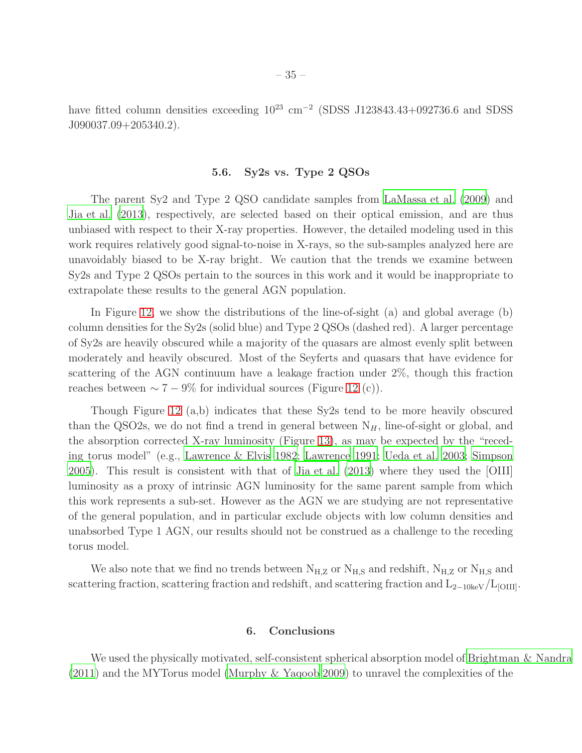have fitted column densities exceeding  $10^{23}$  cm<sup>-2</sup> (SDSS J123843.43+092736.6 and SDSS J090037.09+205340.2).

# 5.6. Sy2s vs. Type 2 QSOs

The parent Sy2 and Type 2 QSO candidate samples from [LaMassa et al. \(2009\)](#page-38-4) and [Jia et al. \(2013\)](#page-38-5), respectively, are selected based on their optical emission, and are thus unbiased with respect to their X-ray properties. However, the detailed modeling used in this work requires relatively good signal-to-noise in X-rays, so the sub-samples analyzed here are unavoidably biased to be X-ray bright. We caution that the trends we examine between Sy2s and Type 2 QSOs pertain to the sources in this work and it would be inappropriate to extrapolate these results to the general AGN population.

In Figure [12,](#page-41-0) we show the distributions of the line-of-sight (a) and global average (b) column densities for the Sy2s (solid blue) and Type 2 QSOs (dashed red). A larger percentage of Sy2s are heavily obscured while a majority of the quasars are almost evenly split between moderately and heavily obscured. Most of the Seyferts and quasars that have evidence for scattering of the AGN continuum have a leakage fraction under 2%, though this fraction reaches between  $\sim 7 - 9\%$  for individual sources (Figure [12](#page-41-0) (c)).

Though Figure [12](#page-41-0) (a,b) indicates that these Sy2s tend to be more heavily obscured than the QSO2s, we do not find a trend in general between  $N_H$ , line-of-sight or global, and the absorption corrected X-ray luminosity (Figure [13\)](#page-42-0), as may be expected by the "receding torus model" (e.g., [Lawrence & Elvis 1982;](#page-38-8) [Lawrence 1991;](#page-38-9) [Ueda et al. 2003](#page-39-1); [Simpson](#page-38-10) [2005\)](#page-38-10). This result is consistent with that of [Jia et al. \(2013\)](#page-38-5) where they used the [OIII] luminosity as a proxy of intrinsic AGN luminosity for the same parent sample from which this work represents a sub-set. However as the AGN we are studying are not representative of the general population, and in particular exclude objects with low column densities and unabsorbed Type 1 AGN, our results should not be construed as a challenge to the receding torus model.

We also note that we find no trends between  $N_{H,Z}$  or  $N_{H,S}$  and redshift,  $N_{H,Z}$  or  $N_{H,S}$  and scattering fraction, scattering fraction and redshift, and scattering fraction and L<sub>2−10keV</sub>/L<sub>[OIII]</sub>.

#### 6. Conclusions

We used the physically motivated, self-consistent spherical absorption model of [Brightman & Nandra](#page-37-1) [\(2011\)](#page-37-1) and the MYTorus model [\(Murphy & Yaqoob 2009\)](#page-38-0) to unravel the complexities of the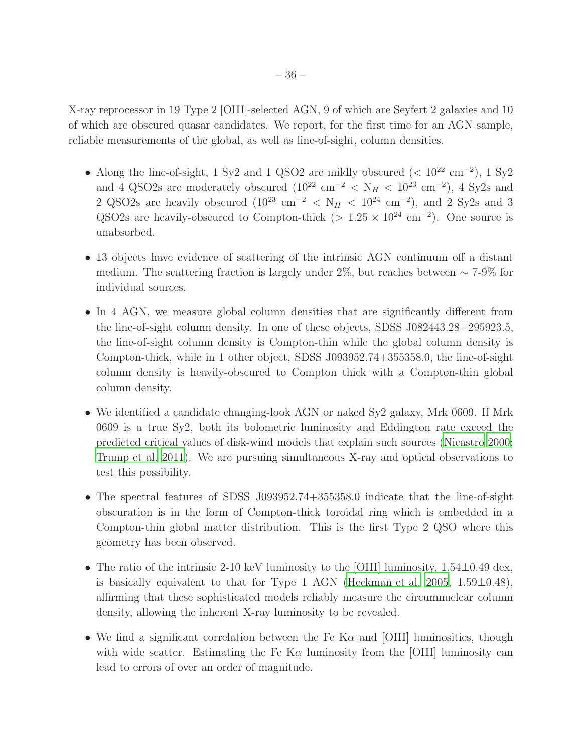X-ray reprocessor in 19 Type 2 [OIII]-selected AGN, 9 of which are Seyfert 2 galaxies and 10 of which are obscured quasar candidates. We report, for the first time for an AGN sample, reliable measurements of the global, as well as line-of-sight, column densities.

- Along the line-of-sight, 1 Sy2 and 1 QSO2 are mildly obscured  $(< 10^{22}$  cm<sup>-2</sup>), 1 Sy2 and 4 QSO2s are moderately obscured  $(10^{22} \text{ cm}^{-2} < N_H < 10^{23} \text{ cm}^{-2})$ , 4 Sy2s and 2 QSO2s are heavily obscured  $(10^{23} \text{ cm}^{-2} < N_H < 10^{24} \text{ cm}^{-2})$ , and 2 Sy2s and 3 QSO2s are heavily-obscured to Compton-thick (>  $1.25 \times 10^{24}$  cm<sup>-2</sup>). One source is unabsorbed.
- 13 objects have evidence of scattering of the intrinsic AGN continuum off a distant medium. The scattering fraction is largely under 2%, but reaches between  $\sim 7$ -9% for individual sources.
- In 4 AGN, we measure global column densities that are significantly different from the line-of-sight column density. In one of these objects, SDSS J082443.28+295923.5, the line-of-sight column density is Compton-thin while the global column density is Compton-thick, while in 1 other object, SDSS J093952.74+355358.0, the line-of-sight column density is heavily-obscured to Compton thick with a Compton-thin global column density.
- We identified a candidate changing-look AGN or naked Sy2 galaxy, Mrk 0609. If Mrk 0609 is a true Sy2, both its bolometric luminosity and Eddington rate exceed the predicted critical values of disk-wind models that explain such sources [\(Nicastro 2000;](#page-38-18) [Trump et al. 2011\)](#page-39-7). We are pursuing simultaneous X-ray and optical observations to test this possibility.
- The spectral features of SDSS J093952.74+355358.0 indicate that the line-of-sight obscuration is in the form of Compton-thick toroidal ring which is embedded in a Compton-thin global matter distribution. This is the first Type 2 QSO where this geometry has been observed.
- The ratio of the intrinsic 2-10 keV luminosity to the [OIII] luminosity,  $1.54\pm0.49$  dex, is basically equivalent to that for Type 1 AGN [\(Heckman et al. 2005,](#page-37-6)  $1.59\pm0.48$ ), affirming that these sophisticated models reliably measure the circumnuclear column density, allowing the inherent X-ray luminosity to be revealed.
- We find a significant correlation between the Fe K $\alpha$  and [OIII] luminosities, though with wide scatter. Estimating the Fe  $K\alpha$  luminosity from the [OIII] luminosity can lead to errors of over an order of magnitude.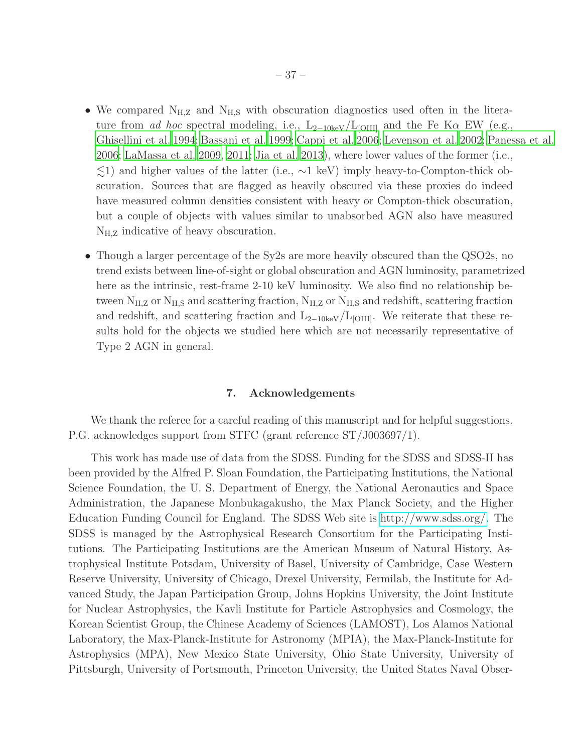- We compared  $N_{H,Z}$  and  $N_{H,S}$  with obscuration diagnostics used often in the literature from ad hoc spectral modeling, i.e., L<sub>2−10keV</sub>/L<sub>[OIII]</sub> and the Fe K $\alpha$  EW (e.g., [Ghisellini et al. 1994;](#page-37-5) [Bassani et al. 1999](#page-37-2); [Cappi et al. 2006;](#page-37-4) [Levenson et al. 2002](#page-38-6); [Panessa et al.](#page-38-2) [2006;](#page-38-2) [LaMassa et al. 2009,](#page-38-4) [2011](#page-38-22); [Jia et al. 2013](#page-38-5)), where lower values of the former (i.e.,  $\lesssim$ 1) and higher values of the latter (i.e.,  $\sim$ 1 keV) imply heavy-to-Compton-thick obscuration. Sources that are flagged as heavily obscured via these proxies do indeed have measured column densities consistent with heavy or Compton-thick obscuration, but a couple of objects with values similar to unabsorbed AGN also have measured  $N_{H,Z}$  indicative of heavy obscuration.
- Though a larger percentage of the Sy2s are more heavily obscured than the QSO2s, no trend exists between line-of-sight or global obscuration and AGN luminosity, parametrized here as the intrinsic, rest-frame 2-10 keV luminosity. We also find no relationship between  $N_{H,Z}$  or  $N_{H,S}$  and scattering fraction,  $N_{H,Z}$  or  $N_{H,S}$  and redshift, scattering fraction and redshift, and scattering fraction and  $L_{2-10keV}/L_{\text{[OIII]}}$ . We reiterate that these results hold for the objects we studied here which are not necessarily representative of Type 2 AGN in general.

# 7. Acknowledgements

We thank the referee for a careful reading of this manuscript and for helpful suggestions. P.G. acknowledges support from STFC (grant reference ST/J003697/1).

This work has made use of data from the SDSS. Funding for the SDSS and SDSS-II has been provided by the Alfred P. Sloan Foundation, the Participating Institutions, the National Science Foundation, the U. S. Department of Energy, the National Aeronautics and Space Administration, the Japanese Monbukagakusho, the Max Planck Society, and the Higher Education Funding Council for England. The SDSS Web site is [http://www.sdss.org/.](http://www.sdss.org/) The SDSS is managed by the Astrophysical Research Consortium for the Participating Institutions. The Participating Institutions are the American Museum of Natural History, Astrophysical Institute Potsdam, University of Basel, University of Cambridge, Case Western Reserve University, University of Chicago, Drexel University, Fermilab, the Institute for Advanced Study, the Japan Participation Group, Johns Hopkins University, the Joint Institute for Nuclear Astrophysics, the Kavli Institute for Particle Astrophysics and Cosmology, the Korean Scientist Group, the Chinese Academy of Sciences (LAMOST), Los Alamos National Laboratory, the Max-Planck-Institute for Astronomy (MPIA), the Max-Planck-Institute for Astrophysics (MPA), New Mexico State University, Ohio State University, University of Pittsburgh, University of Portsmouth, Princeton University, the United States Naval Obser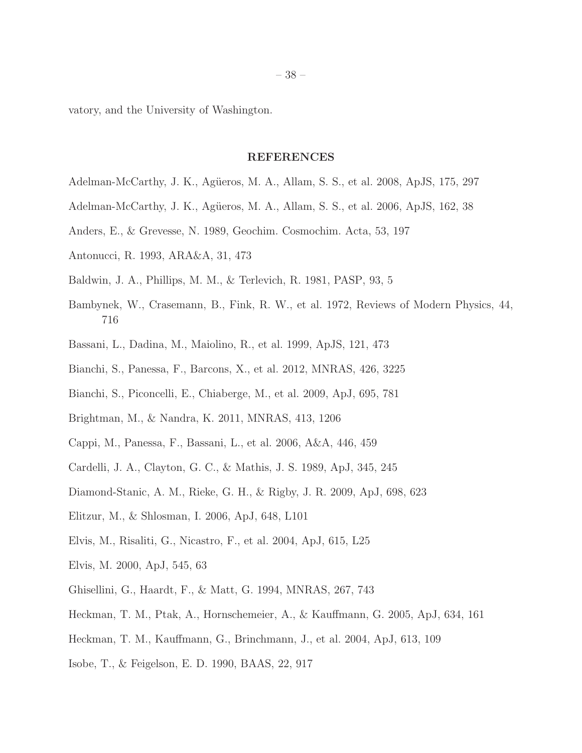vatory, and the University of Washington.

#### REFERENCES

- <span id="page-37-9"></span>Adelman-McCarthy, J. K., Agüeros, M. A., Allam, S. S., et al. 2008, ApJS, 175, 297
- <span id="page-37-8"></span>Adelman-McCarthy, J. K., Agüeros, M. A., Allam, S. S., et al. 2006, ApJS, 162, 38
- <span id="page-37-10"></span>Anders, E., & Grevesse, N. 1989, Geochim. Cosmochim. Acta, 53, 197
- <span id="page-37-0"></span>Antonucci, R. 1993, ARA&A, 31, 473
- <span id="page-37-7"></span>Baldwin, J. A., Phillips, M. M., & Terlevich, R. 1981, PASP, 93, 5
- <span id="page-37-11"></span>Bambynek, W., Crasemann, B., Fink, R. W., et al. 1972, Reviews of Modern Physics, 44, 716
- <span id="page-37-2"></span>Bassani, L., Dadina, M., Maiolino, R., et al. 1999, ApJS, 121, 473
- <span id="page-37-16"></span>Bianchi, S., Panessa, F., Barcons, X., et al. 2012, MNRAS, 426, 3225
- <span id="page-37-13"></span>Bianchi, S., Piconcelli, E., Chiaberge, M., et al. 2009, ApJ, 695, 781
- <span id="page-37-1"></span>Brightman, M., & Nandra, K. 2011, MNRAS, 413, 1206
- <span id="page-37-4"></span>Cappi, M., Panessa, F., Bassani, L., et al. 2006, A&A, 446, 459
- <span id="page-37-17"></span>Cardelli, J. A., Clayton, G. C., & Mathis, J. S. 1989, ApJ, 345, 245
- Diamond-Stanic, A. M., Rieke, G. H., & Rigby, J. R. 2009, ApJ, 698, 623
- <span id="page-37-15"></span>Elitzur, M., & Shlosman, I. 2006, ApJ, 648, L101
- <span id="page-37-12"></span>Elvis, M., Risaliti, G., Nicastro, F., et al. 2004, ApJ, 615, L25
- <span id="page-37-14"></span>Elvis, M. 2000, ApJ, 545, 63
- <span id="page-37-5"></span>Ghisellini, G., Haardt, F., & Matt, G. 1994, MNRAS, 267, 743
- <span id="page-37-6"></span>Heckman, T. M., Ptak, A., Hornschemeier, A., & Kauffmann, G. 2005, ApJ, 634, 161
- <span id="page-37-3"></span>Heckman, T. M., Kauffmann, G., Brinchmann, J., et al. 2004, ApJ, 613, 109
- <span id="page-37-18"></span>Isobe, T., & Feigelson, E. D. 1990, BAAS, 22, 917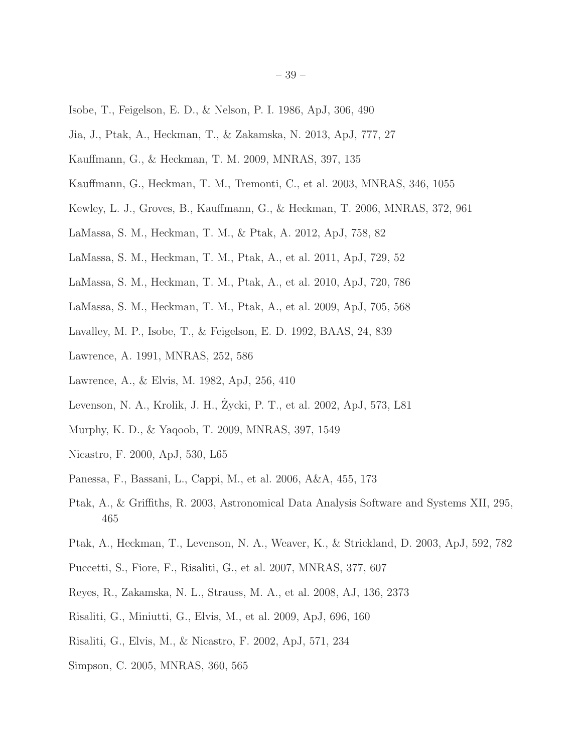- <span id="page-38-21"></span>Isobe, T., Feigelson, E. D., & Nelson, P. I. 1986, ApJ, 306, 490
- <span id="page-38-5"></span>Jia, J., Ptak, A., Heckman, T., & Zakamska, N. 2013, ApJ, 777, 27
- <span id="page-38-19"></span>Kauffmann, G., & Heckman, T. M. 2009, MNRAS, 397, 135
- <span id="page-38-1"></span>Kauffmann, G., Heckman, T. M., Tremonti, C., et al. 2003, MNRAS, 346, 1055
- <span id="page-38-11"></span>Kewley, L. J., Groves, B., Kauffmann, G., & Heckman, T. 2006, MNRAS, 372, 961
- <span id="page-38-14"></span>LaMassa, S. M., Heckman, T. M., & Ptak, A. 2012, ApJ, 758, 82
- <span id="page-38-22"></span>LaMassa, S. M., Heckman, T. M., Ptak, A., et al. 2011, ApJ, 729, 52
- <span id="page-38-3"></span>LaMassa, S. M., Heckman, T. M., Ptak, A., et al. 2010, ApJ, 720, 786
- <span id="page-38-4"></span>LaMassa, S. M., Heckman, T. M., Ptak, A., et al. 2009, ApJ, 705, 568
- <span id="page-38-20"></span>Lavalley, M. P., Isobe, T., & Feigelson, E. D. 1992, BAAS, 24, 839
- <span id="page-38-9"></span>Lawrence, A. 1991, MNRAS, 252, 586
- <span id="page-38-8"></span>Lawrence, A., & Elvis, M. 1982, ApJ, 256, 410
- <span id="page-38-6"></span>Levenson, N. A., Krolik, J. H., Zycki, P. T., et al. 2002, ApJ, 573, L81 ˙
- <span id="page-38-0"></span>Murphy, K. D., & Yaqoob, T. 2009, MNRAS, 397, 1549
- <span id="page-38-18"></span>Nicastro, F. 2000, ApJ, 530, L65
- <span id="page-38-2"></span>Panessa, F., Bassani, L., Cappi, M., et al. 2006, A&A, 455, 173
- <span id="page-38-13"></span>Ptak, A., & Griffiths, R. 2003, Astronomical Data Analysis Software and Systems XII, 295, 465
- <span id="page-38-7"></span>Ptak, A., Heckman, T., Levenson, N. A., Weaver, K., & Strickland, D. 2003, ApJ, 592, 782
- <span id="page-38-16"></span>Puccetti, S., Fiore, F., Risaliti, G., et al. 2007, MNRAS, 377, 607
- <span id="page-38-12"></span>Reyes, R., Zakamska, N. L., Strauss, M. A., et al. 2008, AJ, 136, 2373
- <span id="page-38-17"></span>Risaliti, G., Miniutti, G., Elvis, M., et al. 2009, ApJ, 696, 160
- <span id="page-38-15"></span>Risaliti, G., Elvis, M., & Nicastro, F. 2002, ApJ, 571, 234
- <span id="page-38-10"></span>Simpson, C. 2005, MNRAS, 360, 565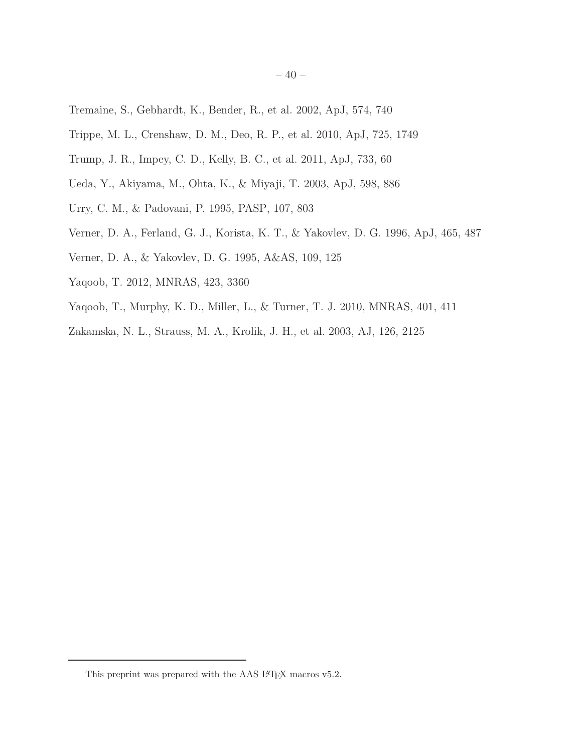- <span id="page-39-8"></span>Tremaine, S., Gebhardt, K., Bender, R., et al. 2002, ApJ, 574, 740
- <span id="page-39-6"></span>Trippe, M. L., Crenshaw, D. M., Deo, R. P., et al. 2010, ApJ, 725, 1749
- <span id="page-39-7"></span>Trump, J. R., Impey, C. D., Kelly, B. C., et al. 2011, ApJ, 733, 60
- <span id="page-39-1"></span>Ueda, Y., Akiyama, M., Ohta, K., & Miyaji, T. 2003, ApJ, 598, 886
- <span id="page-39-0"></span>Urry, C. M., & Padovani, P. 1995, PASP, 107, 803
- <span id="page-39-4"></span>Verner, D. A., Ferland, G. J., Korista, K. T., & Yakovlev, D. G. 1996, ApJ, 465, 487
- <span id="page-39-5"></span>Verner, D. A., & Yakovlev, D. G. 1995, A&AS, 109, 125
- <span id="page-39-3"></span>Yaqoob, T. 2012, MNRAS, 423, 3360
- <span id="page-39-9"></span>Yaqoob, T., Murphy, K. D., Miller, L., & Turner, T. J. 2010, MNRAS, 401, 411
- <span id="page-39-2"></span>Zakamska, N. L., Strauss, M. A., Krolik, J. H., et al. 2003, AJ, 126, 2125

<span id="page-39-10"></span>This preprint was prepared with the AAS IATEX macros v5.2.  $\,$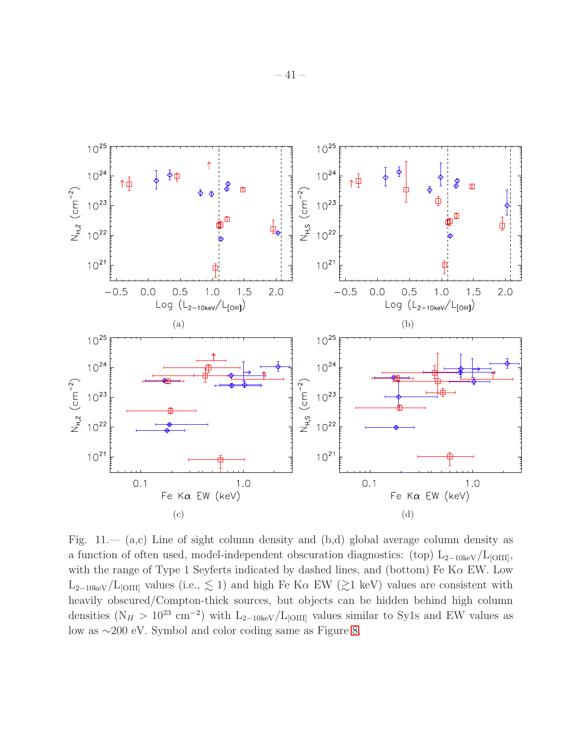

<span id="page-40-0"></span>Fig.  $11 - (a,c)$  Line of sight column density and  $(b,d)$  global average column density as a function of often used, model-independent obscuration diagnostics: (top)  $L_{2-10\text{keV}}/L_{\text{[OIII]}}$ , with the range of Type 1 Seyferts indicated by dashed lines, and (bottom) Fe K $\alpha$  EW. Low  $L_{2-10\text{keV}}/L_{\text{[OIII]}}$  values (i.e.,  $\lesssim 1$ ) and high Fe K $\alpha$  EW ( $\gtrsim$ 1 keV) values are consistent with heavily obscured/Compton-thick sources, but objects can be hidden behind high column densities ( $N_H > 10^{23}$  cm<sup>-2</sup>) with L<sub>2−10keV</sub>/L<sub>[OIII]</sub> values similar to Sy1s and EW values as low as ∼200 eV. Symbol and color coding same as Figure [8.](#page-30-0)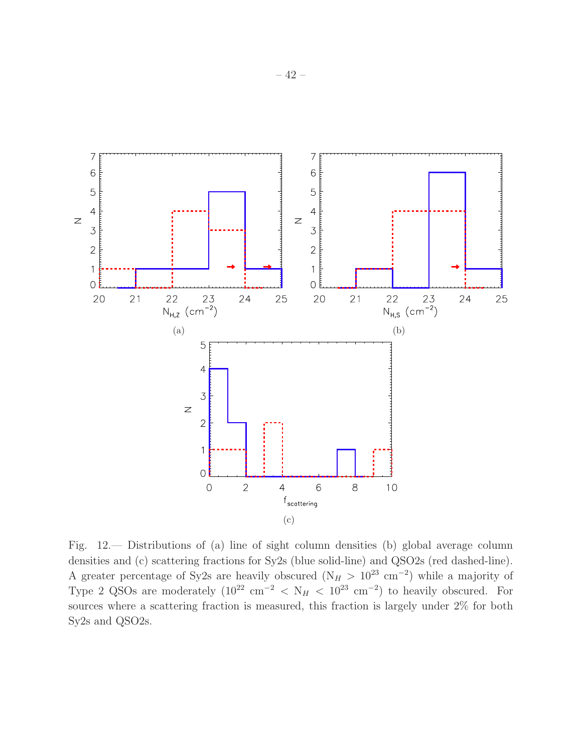

<span id="page-41-0"></span>Fig. 12.— Distributions of (a) line of sight column densities (b) global average column densities and (c) scattering fractions for Sy2s (blue solid-line) and QSO2s (red dashed-line). A greater percentage of Sy2s are heavily obscured ( $N_H > 10^{23}$  cm<sup>-2</sup>) while a majority of Type 2 QSOs are moderately  $(10^{22} \text{ cm}^{-2} < N_H < 10^{23} \text{ cm}^{-2})$  to heavily obscured. For sources where a scattering fraction is measured, this fraction is largely under 2% for both Sy2s and QSO2s.